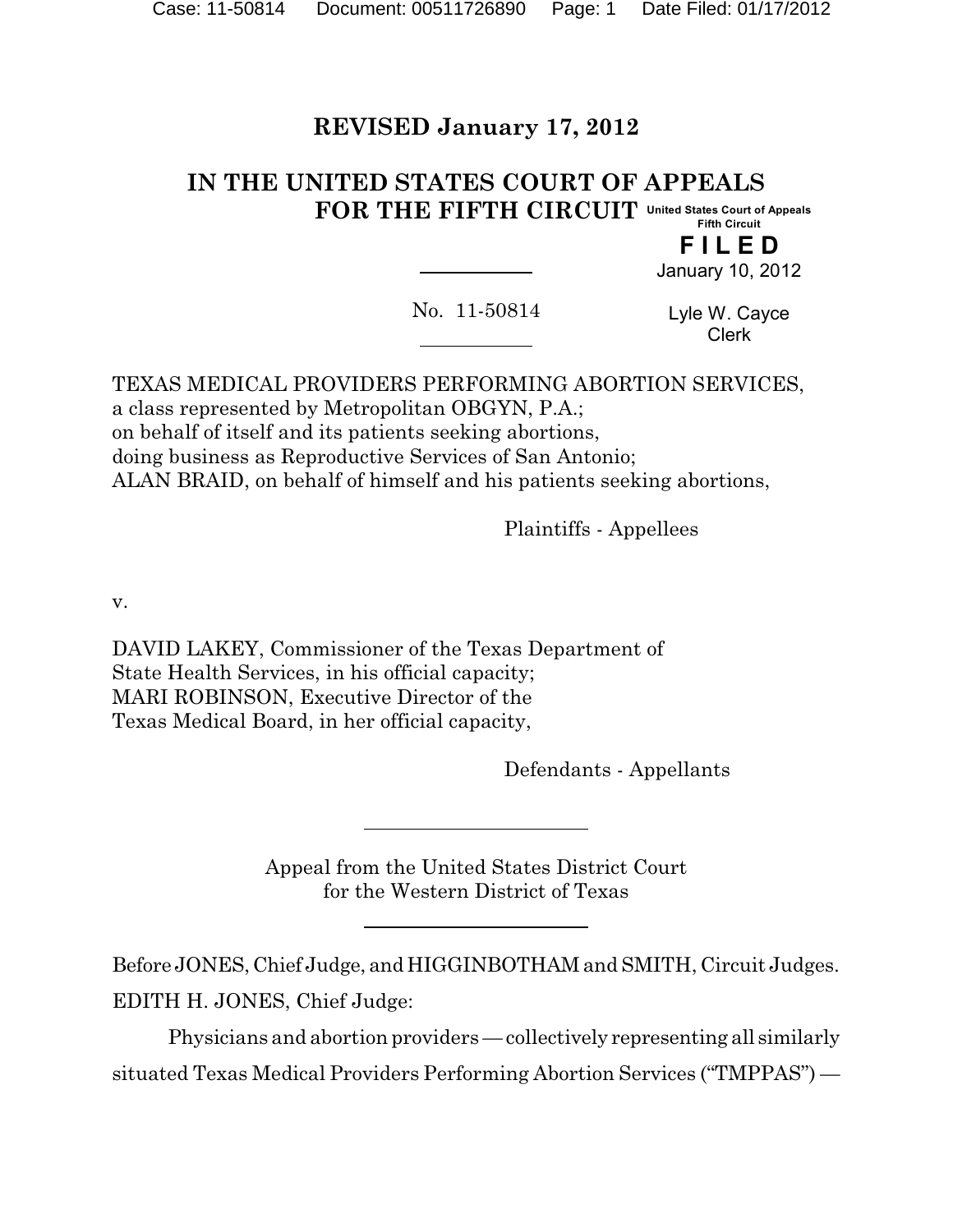# **REVISED January 17, 2012**

#### **IN THE UNITED STATES COURT OF APPEALS FOR THE FIFTH CIRCUIT United States Court of Appeals Fifth Circuit**

**F I L E D** January 10, 2012

No. 11-50814

Lyle W. Cayce Clerk

TEXAS MEDICAL PROVIDERS PERFORMING ABORTION SERVICES, a class represented by Metropolitan OBGYN, P.A.; on behalf of itself and its patients seeking abortions, doing business as Reproductive Services of San Antonio; ALAN BRAID, on behalf of himself and his patients seeking abortions,

Plaintiffs - Appellees

v.

DAVID LAKEY, Commissioner of the Texas Department of State Health Services, in his official capacity; MARI ROBINSON, Executive Director of the Texas Medical Board, in her official capacity,

Defendants - Appellants

Appeal from the United States District Court for the Western District of Texas

Before JONES, Chief Judge, and HIGGINBOTHAM and SMITH, Circuit Judges. EDITH H. JONES, Chief Judge:

Physicians and abortion providers — collectively representing all similarly situated Texas Medical Providers Performing Abortion Services ("TMPPAS") —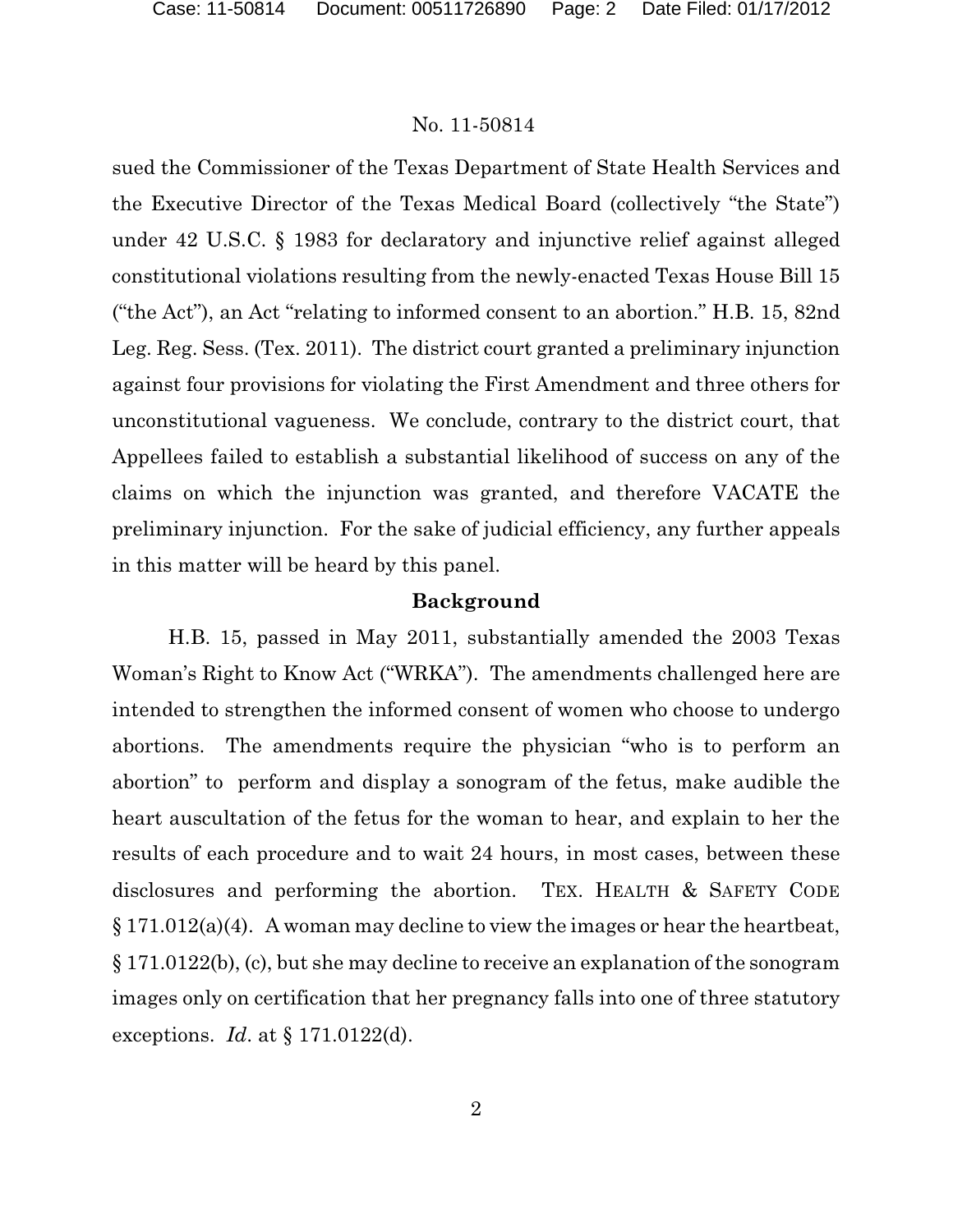sued the Commissioner of the Texas Department of State Health Services and the Executive Director of the Texas Medical Board (collectively "the State") under 42 U.S.C. § 1983 for declaratory and injunctive relief against alleged constitutional violations resulting from the newly-enacted Texas House Bill 15 ("the Act"), an Act "relating to informed consent to an abortion." H.B. 15, 82nd Leg. Reg. Sess. (Tex. 2011). The district court granted a preliminary injunction against four provisions for violating the First Amendment and three others for unconstitutional vagueness. We conclude, contrary to the district court, that Appellees failed to establish a substantial likelihood of success on any of the claims on which the injunction was granted, and therefore VACATE the preliminary injunction. For the sake of judicial efficiency, any further appeals in this matter will be heard by this panel.

### **Background**

H.B. 15, passed in May 2011, substantially amended the 2003 Texas Woman's Right to Know Act ("WRKA"). The amendments challenged here are intended to strengthen the informed consent of women who choose to undergo abortions. The amendments require the physician "who is to perform an abortion" to perform and display a sonogram of the fetus, make audible the heart auscultation of the fetus for the woman to hear, and explain to her the results of each procedure and to wait 24 hours, in most cases, between these disclosures and performing the abortion. TEX. HEALTH & SAFETY CODE  $\S 171.012(a)(4)$ . A woman may decline to view the images or hear the heartbeat, § 171.0122(b), (c), but she may decline to receive an explanation of the sonogram images only on certification that her pregnancy falls into one of three statutory exceptions. *Id*. at § 171.0122(d).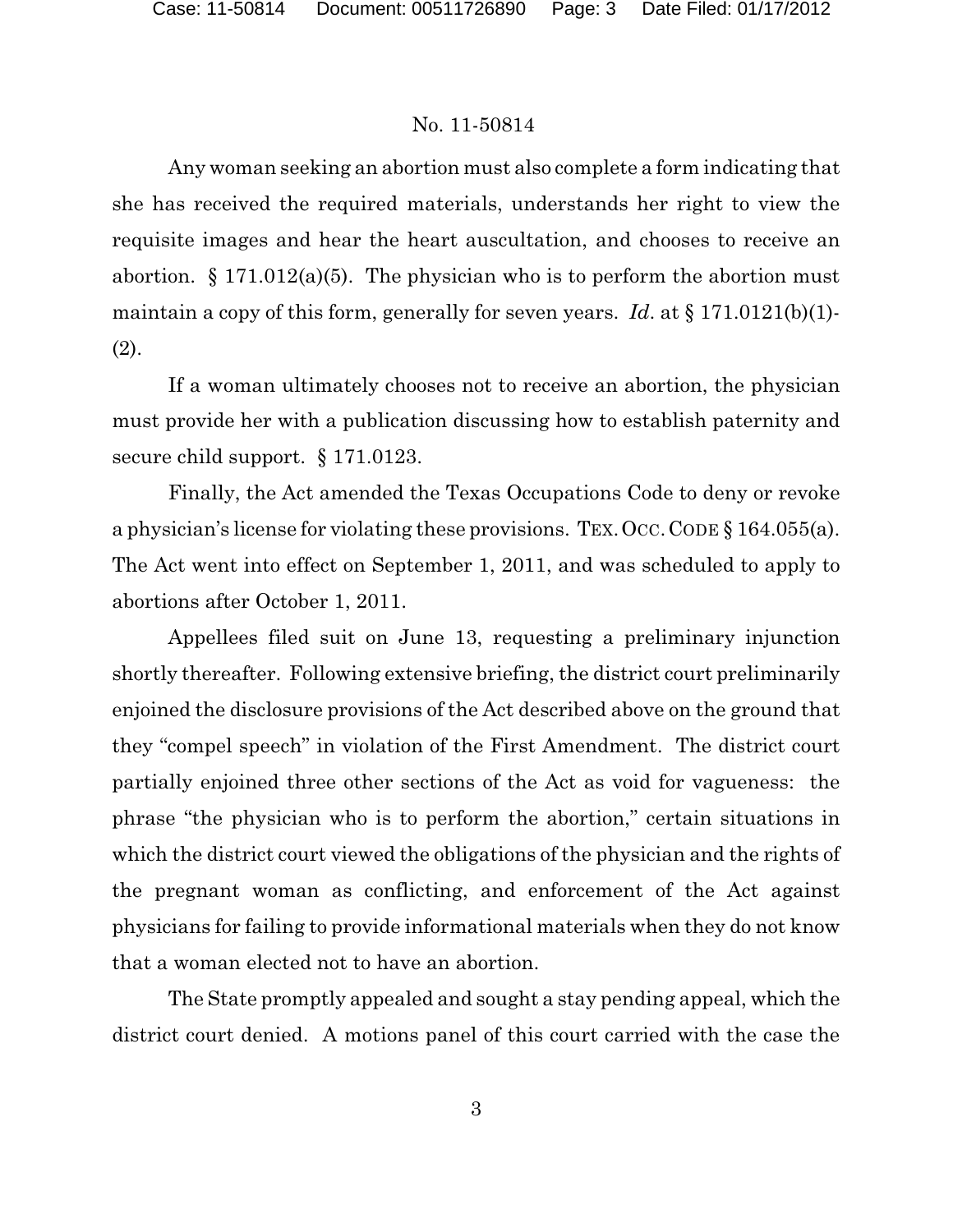Any woman seeking an abortion must also complete a form indicating that she has received the required materials, understands her right to view the requisite images and hear the heart auscultation, and chooses to receive an abortion.  $\S 171.012(a)(5)$ . The physician who is to perform the abortion must maintain a copy of this form, generally for seven years. *Id*. at § 171.0121(b)(1)- (2).

If a woman ultimately chooses not to receive an abortion, the physician must provide her with a publication discussing how to establish paternity and secure child support. § 171.0123.

Finally, the Act amended the Texas Occupations Code to deny or revoke a physician's license for violating these provisions. TEX.OCC.CODE § 164.055(a). The Act went into effect on September 1, 2011, and was scheduled to apply to abortions after October 1, 2011.

Appellees filed suit on June 13, requesting a preliminary injunction shortly thereafter. Following extensive briefing, the district court preliminarily enjoined the disclosure provisions of the Act described above on the ground that they "compel speech" in violation of the First Amendment. The district court partially enjoined three other sections of the Act as void for vagueness: the phrase "the physician who is to perform the abortion," certain situations in which the district court viewed the obligations of the physician and the rights of the pregnant woman as conflicting, and enforcement of the Act against physicians for failing to provide informational materials when they do not know that a woman elected not to have an abortion.

The State promptly appealed and sought a stay pending appeal, which the district court denied. A motions panel of this court carried with the case the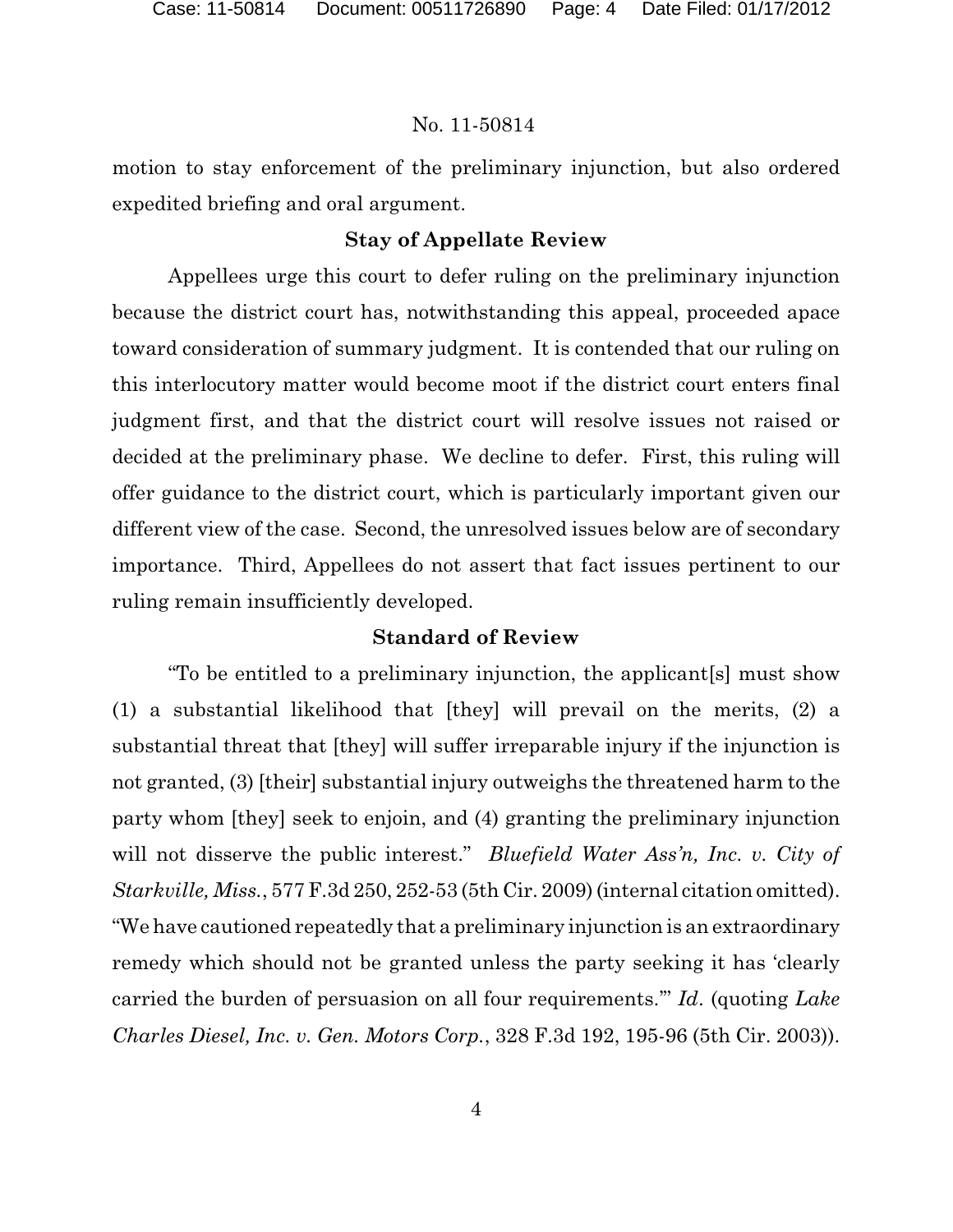motion to stay enforcement of the preliminary injunction, but also ordered expedited briefing and oral argument.

### **Stay of Appellate Review**

Appellees urge this court to defer ruling on the preliminary injunction because the district court has, notwithstanding this appeal, proceeded apace toward consideration of summary judgment. It is contended that our ruling on this interlocutory matter would become moot if the district court enters final judgment first, and that the district court will resolve issues not raised or decided at the preliminary phase. We decline to defer. First, this ruling will offer guidance to the district court, which is particularly important given our different view of the case. Second, the unresolved issues below are of secondary importance. Third, Appellees do not assert that fact issues pertinent to our ruling remain insufficiently developed.

### **Standard of Review**

"To be entitled to a preliminary injunction, the applicant[s] must show (1) a substantial likelihood that [they] will prevail on the merits, (2) a substantial threat that [they] will suffer irreparable injury if the injunction is not granted, (3) [their] substantial injury outweighs the threatened harm to the party whom [they] seek to enjoin, and (4) granting the preliminary injunction will not disserve the public interest." *Bluefield Water Ass'n, Inc. v. City of Starkville, Miss.*, 577 F.3d 250, 252-53 (5th Cir. 2009) (internal citation omitted). "We have cautioned repeatedly that a preliminary injunction is an extraordinary remedy which should not be granted unless the party seeking it has 'clearly carried the burden of persuasion on all four requirements.'" *Id*. (quoting *Lake Charles Diesel, Inc. v. Gen. Motors Corp.*, 328 F.3d 192, 195-96 (5th Cir. 2003)).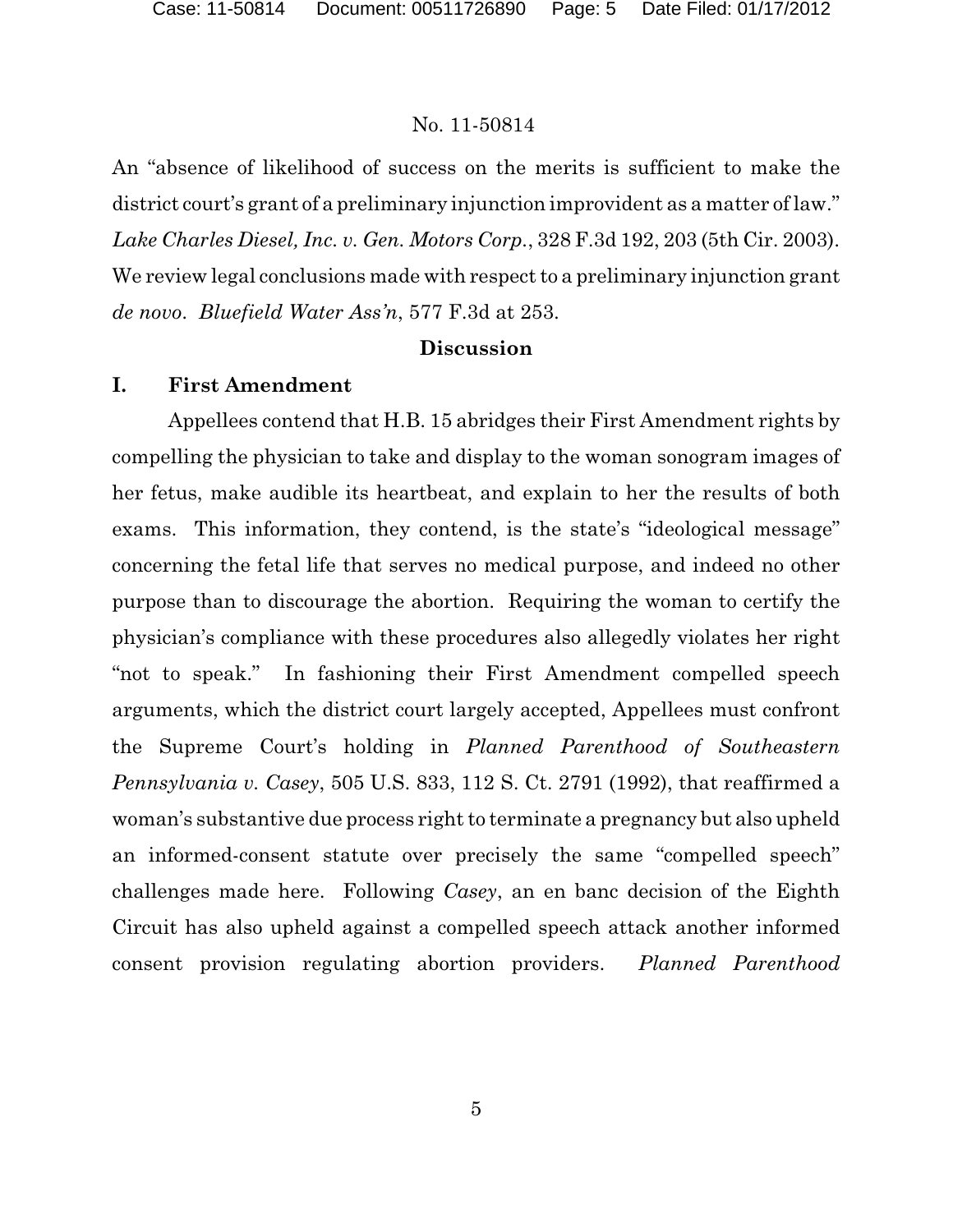An "absence of likelihood of success on the merits is sufficient to make the district court's grant of a preliminary injunction improvident as a matter of law." *Lake Charles Diesel, Inc. v. Gen. Motors Corp.*, 328 F.3d 192, 203 (5th Cir. 2003). We review legal conclusions made with respect to a preliminary injunction grant *de novo*. *Bluefield Water Ass'n*, 577 F.3d at 253.

### **Discussion**

### **I. First Amendment**

Appellees contend that H.B. 15 abridges their First Amendment rights by compelling the physician to take and display to the woman sonogram images of her fetus, make audible its heartbeat, and explain to her the results of both exams. This information, they contend, is the state's "ideological message" concerning the fetal life that serves no medical purpose, and indeed no other purpose than to discourage the abortion. Requiring the woman to certify the physician's compliance with these procedures also allegedly violates her right "not to speak." In fashioning their First Amendment compelled speech arguments, which the district court largely accepted, Appellees must confront the Supreme Court's holding in *Planned Parenthood of Southeastern Pennsylvania v. Casey*, 505 U.S. 833, 112 S. Ct. 2791 (1992), that reaffirmed a woman's substantive due process right to terminate a pregnancy but also upheld an informed-consent statute over precisely the same "compelled speech" challenges made here. Following *Casey*, an en banc decision of the Eighth Circuit has also upheld against a compelled speech attack another informed consent provision regulating abortion providers. *Planned Parenthood*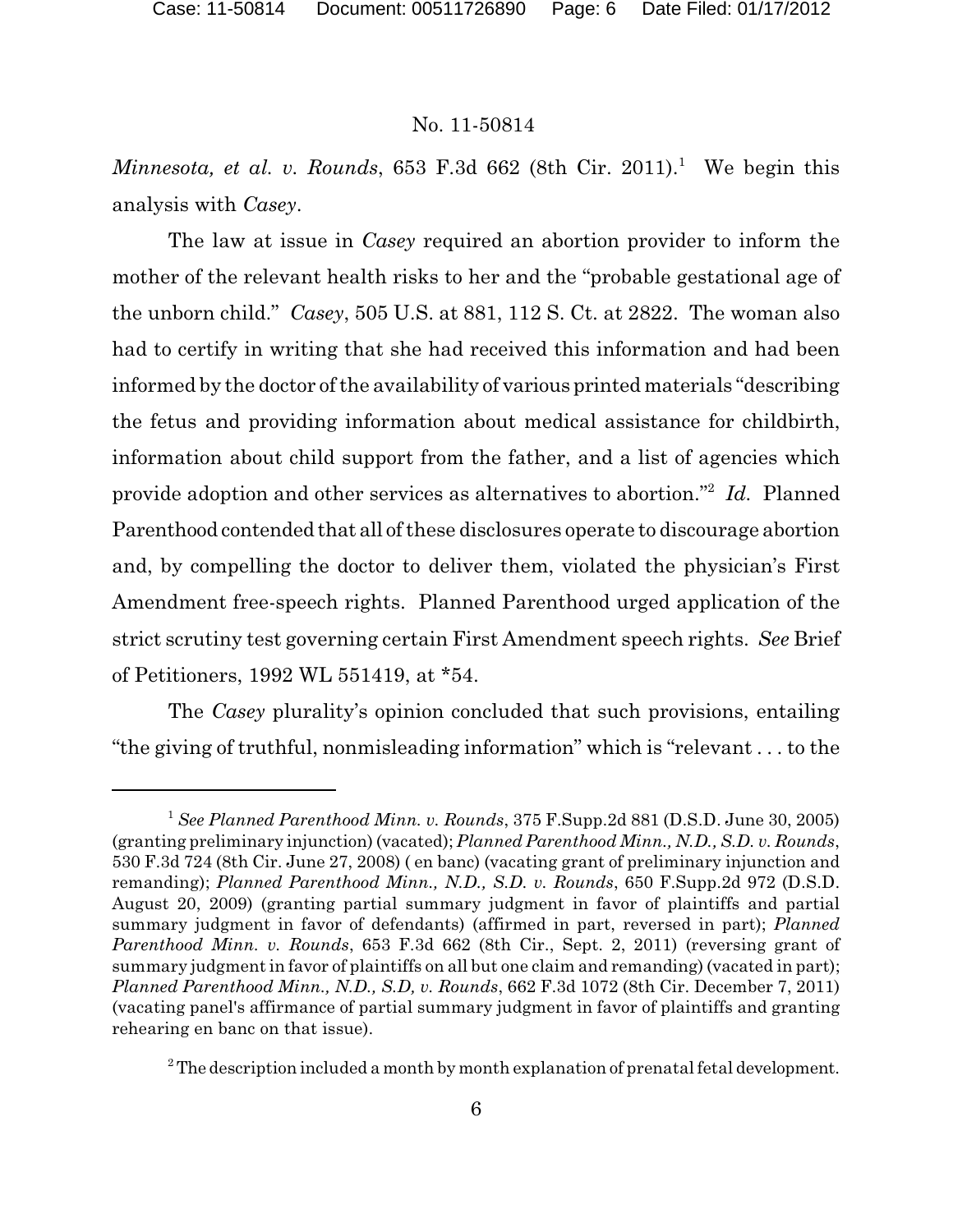*Minnesota, et al. v. Rounds*, 653 F.3d 662 (8th Cir. 2011).<sup>1</sup> We begin this analysis with *Casey*.

The law at issue in *Casey* required an abortion provider to inform the mother of the relevant health risks to her and the "probable gestational age of the unborn child." *Casey*, 505 U.S. at 881, 112 S. Ct. at 2822. The woman also had to certify in writing that she had received this information and had been informed by the doctor of the availability of various printed materials "describing the fetus and providing information about medical assistance for childbirth, information about child support from the father, and a list of agencies which provide adoption and other services as alternatives to abortion."<sup>2</sup> Id. Planned Parenthood contended that all of these disclosures operate to discourage abortion and, by compelling the doctor to deliver them, violated the physician's First Amendment free-speech rights. Planned Parenthood urged application of the strict scrutiny test governing certain First Amendment speech rights. *See* Brief of Petitioners, 1992 WL 551419, at \*54.

The *Casey* plurality's opinion concluded that such provisions, entailing "the giving of truthful, nonmisleading information" which is "relevant . . . to the

<sup>&</sup>lt;sup>1</sup> See Planned Parenthood Minn. v. Rounds, 375 F.Supp.2d 881 (D.S.D. June 30, 2005) (granting preliminary injunction) (vacated); *Planned Parenthood Minn., N.D., S.D. v. Rounds*, 530 F.3d 724 (8th Cir. June 27, 2008) ( en banc) (vacating grant of preliminary injunction and remanding); *Planned Parenthood Minn., N.D., S.D. v. Rounds*, 650 F.Supp.2d 972 (D.S.D. August 20, 2009) (granting partial summary judgment in favor of plaintiffs and partial summary judgment in favor of defendants) (affirmed in part, reversed in part); *Planned Parenthood Minn. v. Rounds*, 653 F.3d 662 (8th Cir., Sept. 2, 2011) (reversing grant of summary judgment in favor of plaintiffs on all but one claim and remanding) (vacated in part); *Planned Parenthood Minn., N.D., S.D, v. Rounds*, 662 F.3d 1072 (8th Cir. December 7, 2011) (vacating panel's affirmance of partial summary judgment in favor of plaintiffs and granting rehearing en banc on that issue).

 $2$ <sup>2</sup> The description included a month by month explanation of prenatal fetal development.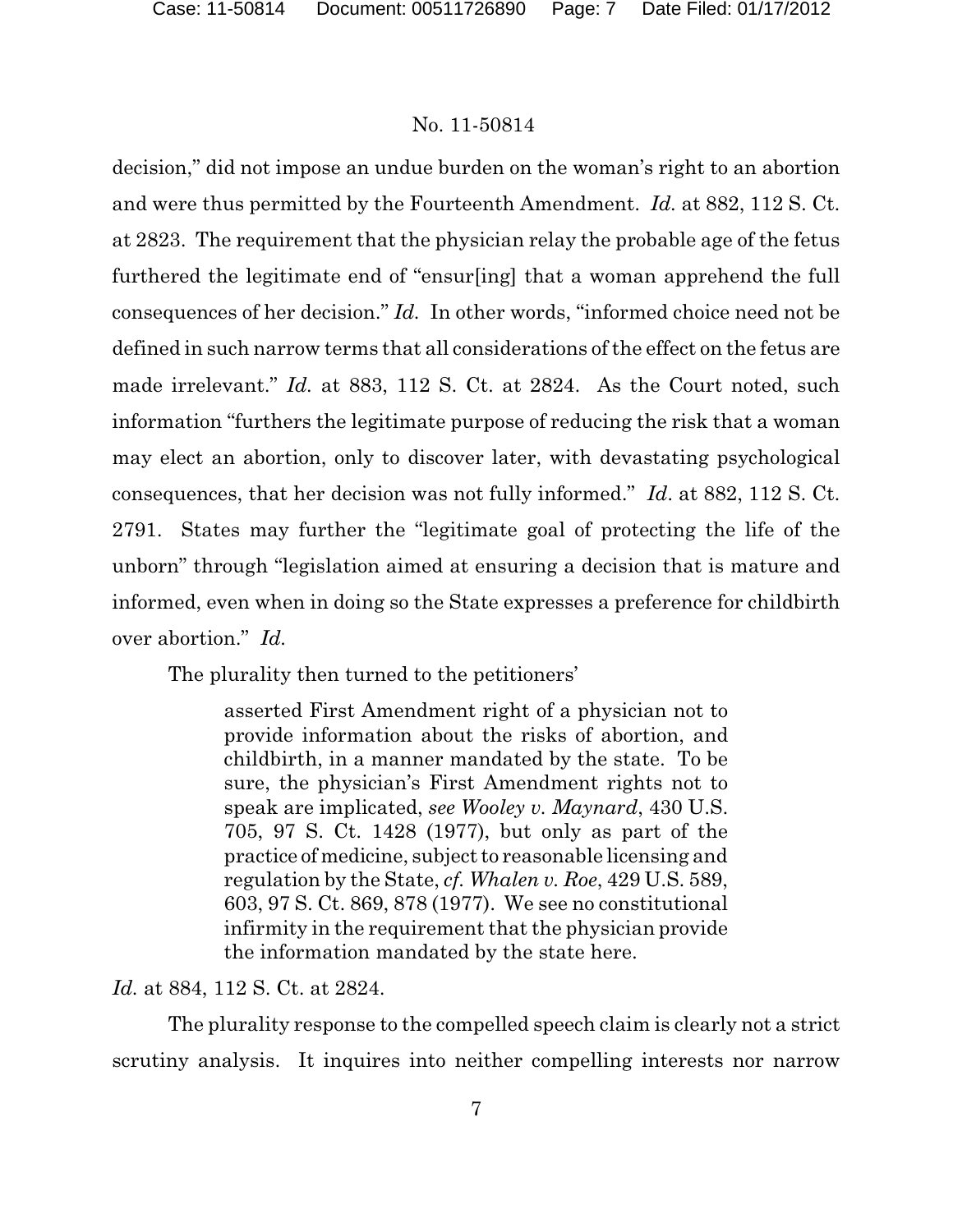decision," did not impose an undue burden on the woman's right to an abortion and were thus permitted by the Fourteenth Amendment. *Id.* at 882, 112 S. Ct. at 2823. The requirement that the physician relay the probable age of the fetus furthered the legitimate end of "ensur[ing] that a woman apprehend the full consequences of her decision." *Id.* In other words, "informed choice need not be defined in such narrow terms that all considerations of the effect on the fetus are made irrelevant." *Id.* at 883, 112 S. Ct. at 2824. As the Court noted, such information "furthers the legitimate purpose of reducing the risk that a woman may elect an abortion, only to discover later, with devastating psychological consequences, that her decision was not fully informed." *Id*. at 882, 112 S. Ct. 2791. States may further the "legitimate goal of protecting the life of the unborn" through "legislation aimed at ensuring a decision that is mature and informed, even when in doing so the State expresses a preference for childbirth over abortion." *Id.*

The plurality then turned to the petitioners'

asserted First Amendment right of a physician not to provide information about the risks of abortion, and childbirth, in a manner mandated by the state. To be sure, the physician's First Amendment rights not to speak are implicated, *see Wooley v. Maynard*, 430 U.S. 705, 97 S. Ct. 1428 (1977), but only as part of the practice of medicine, subject to reasonable licensing and regulation by the State, *cf. Whalen v. Roe*, 429 U.S. 589, 603, 97 S. Ct. 869, 878 (1977). We see no constitutional infirmity in the requirement that the physician provide the information mandated by the state here.

*Id.* at 884, 112 S. Ct. at 2824.

The plurality response to the compelled speech claim is clearly not a strict scrutiny analysis. It inquires into neither compelling interests nor narrow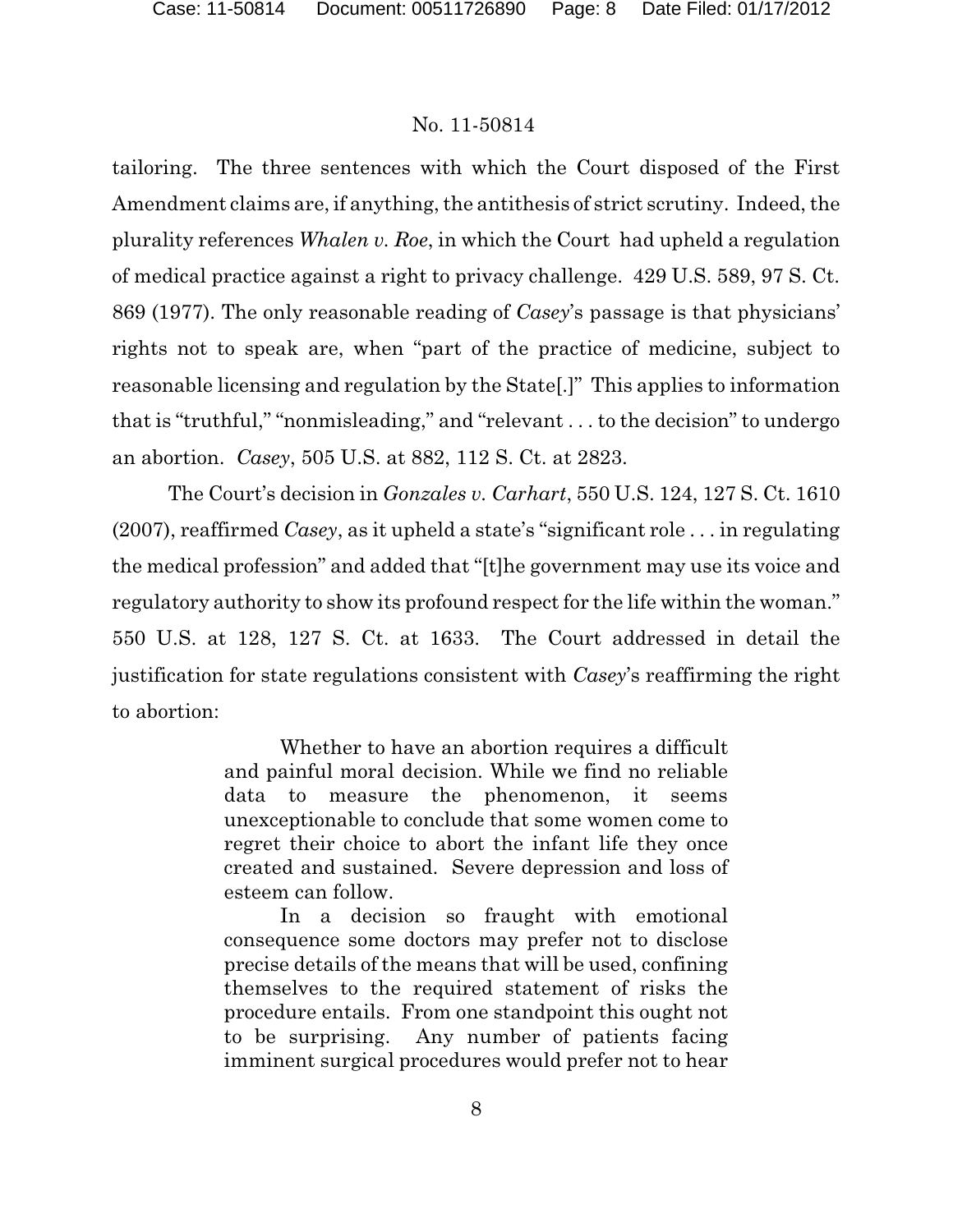tailoring. The three sentences with which the Court disposed of the First Amendment claims are, if anything, the antithesis of strict scrutiny. Indeed, the plurality references *Whalen v. Roe*, in which the Court had upheld a regulation of medical practice against a right to privacy challenge. 429 U.S. 589, 97 S. Ct. 869 (1977). The only reasonable reading of *Casey*'s passage is that physicians' rights not to speak are, when "part of the practice of medicine, subject to reasonable licensing and regulation by the State[.]" This applies to information that is "truthful," "nonmisleading," and "relevant . . . to the decision" to undergo an abortion. *Casey*, 505 U.S. at 882, 112 S. Ct. at 2823.

The Court's decision in *Gonzales v. Carhart*, 550 U.S. 124, 127 S. Ct. 1610 (2007), reaffirmed *Casey*, as it upheld a state's "significant role . . . in regulating the medical profession" and added that "[t]he government may use its voice and regulatory authority to show its profound respect for the life within the woman." 550 U.S. at 128, 127 S. Ct. at 1633. The Court addressed in detail the justification for state regulations consistent with *Casey*'s reaffirming the right to abortion:

> Whether to have an abortion requires a difficult and painful moral decision. While we find no reliable data to measure the phenomenon, it seems unexceptionable to conclude that some women come to regret their choice to abort the infant life they once created and sustained. Severe depression and loss of esteem can follow.

> In a decision so fraught with emotional consequence some doctors may prefer not to disclose precise details of the means that will be used, confining themselves to the required statement of risks the procedure entails. From one standpoint this ought not to be surprising. Any number of patients facing imminent surgical procedures would prefer not to hear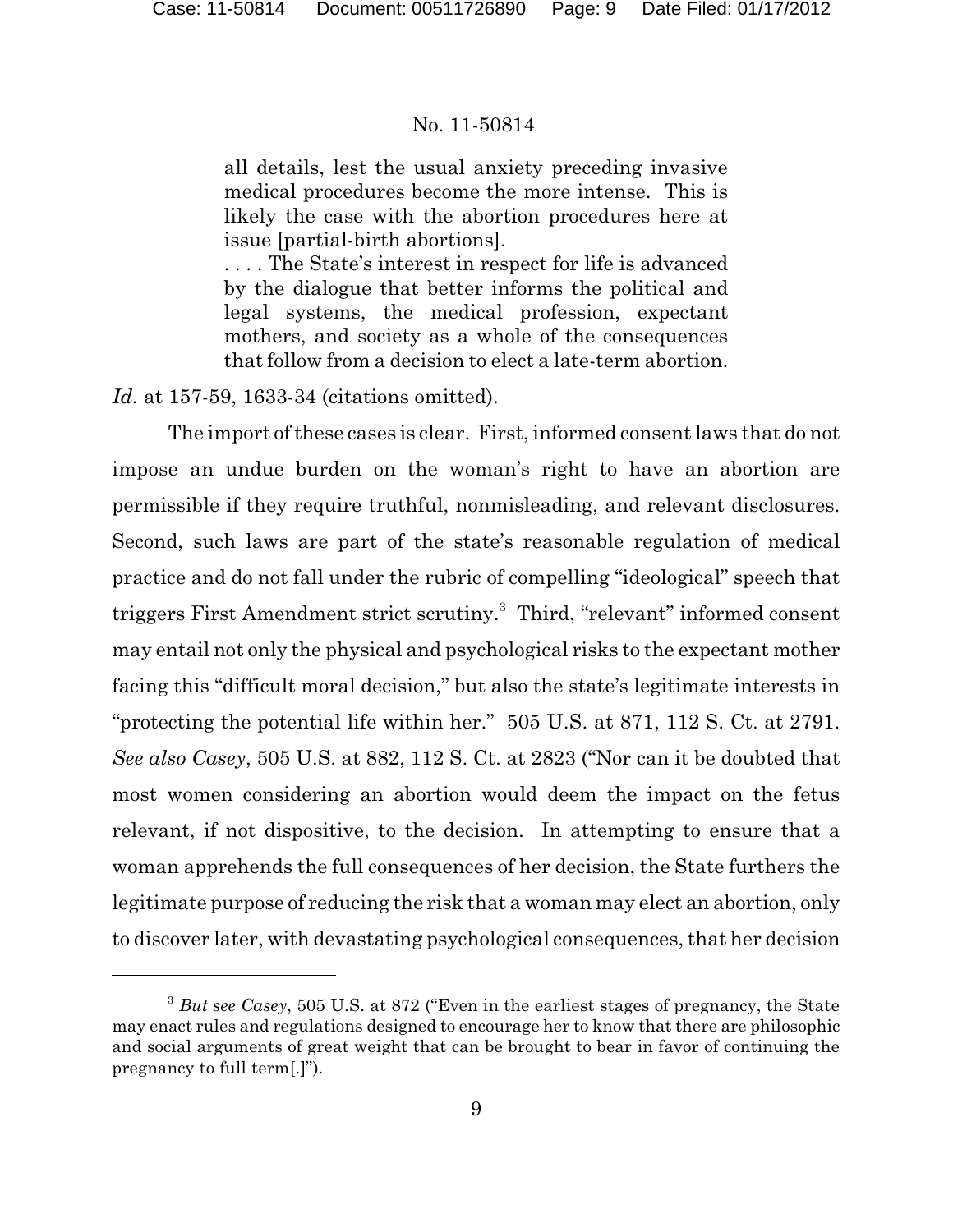all details, lest the usual anxiety preceding invasive medical procedures become the more intense. This is likely the case with the abortion procedures here at issue [partial-birth abortions].

. . . . The State's interest in respect for life is advanced by the dialogue that better informs the political and legal systems, the medical profession, expectant mothers, and society as a whole of the consequences that follow from a decision to elect a late-term abortion.

*Id.* at 157-59, 1633-34 (citations omitted).

The import of these cases is clear. First, informed consent laws that do not impose an undue burden on the woman's right to have an abortion are permissible if they require truthful, nonmisleading, and relevant disclosures. Second, such laws are part of the state's reasonable regulation of medical practice and do not fall under the rubric of compelling "ideological" speech that triggers First Amendment strict scrutiny.<sup>3</sup> Third, "relevant" informed consent may entail not only the physical and psychological risks to the expectant mother facing this "difficult moral decision," but also the state's legitimate interests in "protecting the potential life within her." 505 U.S. at 871, 112 S. Ct. at 2791. *See also Casey*, 505 U.S. at 882, 112 S. Ct. at 2823 ("Nor can it be doubted that most women considering an abortion would deem the impact on the fetus relevant, if not dispositive, to the decision. In attempting to ensure that a woman apprehends the full consequences of her decision, the State furthers the legitimate purpose of reducing the risk that a woman may elect an abortion, only to discover later, with devastating psychological consequences, that her decision

<sup>&</sup>lt;sup>3</sup> But see Casey, 505 U.S. at 872 ("Even in the earliest stages of pregnancy, the State may enact rules and regulations designed to encourage her to know that there are philosophic and social arguments of great weight that can be brought to bear in favor of continuing the pregnancy to full term[.]").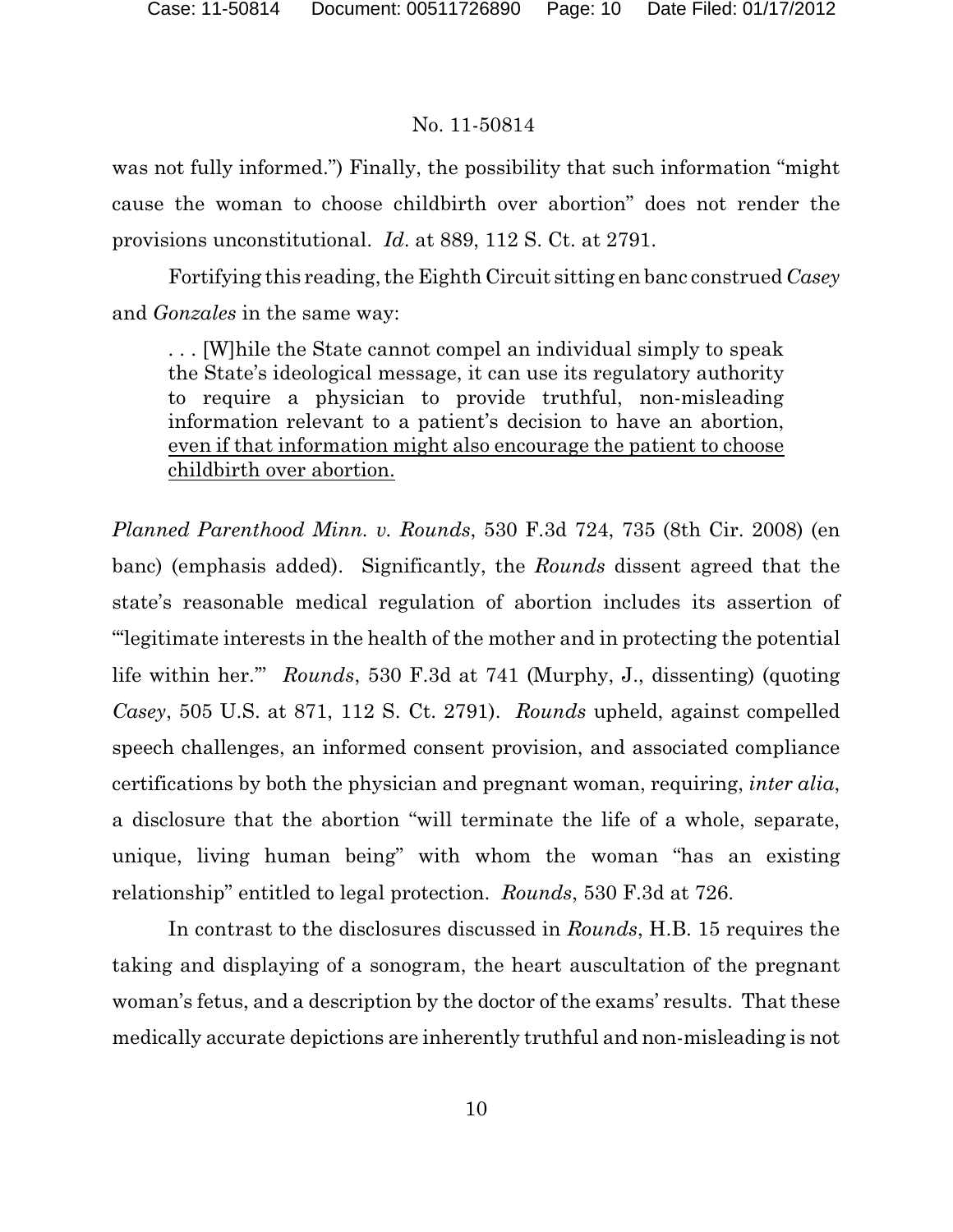was not fully informed.") Finally, the possibility that such information "might cause the woman to choose childbirth over abortion" does not render the provisions unconstitutional. *Id*. at 889, 112 S. Ct. at 2791.

Fortifying this reading, the Eighth Circuit sitting en banc construed *Casey* and *Gonzales* in the same way:

. . . [W]hile the State cannot compel an individual simply to speak the State's ideological message, it can use its regulatory authority to require a physician to provide truthful, non-misleading information relevant to a patient's decision to have an abortion, even if that information might also encourage the patient to choose childbirth over abortion.

*Planned Parenthood Minn. v. Rounds*, 530 F.3d 724, 735 (8th Cir. 2008) (en banc) (emphasis added). Significantly, the *Rounds* dissent agreed that the state's reasonable medical regulation of abortion includes its assertion of "'legitimate interests in the health of the mother and in protecting the potential life within her.'" *Rounds*, 530 F.3d at 741 (Murphy, J., dissenting) (quoting *Casey*, 505 U.S. at 871, 112 S. Ct. 2791). *Rounds* upheld, against compelled speech challenges, an informed consent provision, and associated compliance certifications by both the physician and pregnant woman, requiring, *inter alia*, a disclosure that the abortion "will terminate the life of a whole, separate, unique, living human being" with whom the woman "has an existing relationship" entitled to legal protection. *Rounds*, 530 F.3d at 726.

In contrast to the disclosures discussed in *Rounds*, H.B. 15 requires the taking and displaying of a sonogram, the heart auscultation of the pregnant woman's fetus, and a description by the doctor of the exams' results. That these medically accurate depictions are inherently truthful and non-misleading is not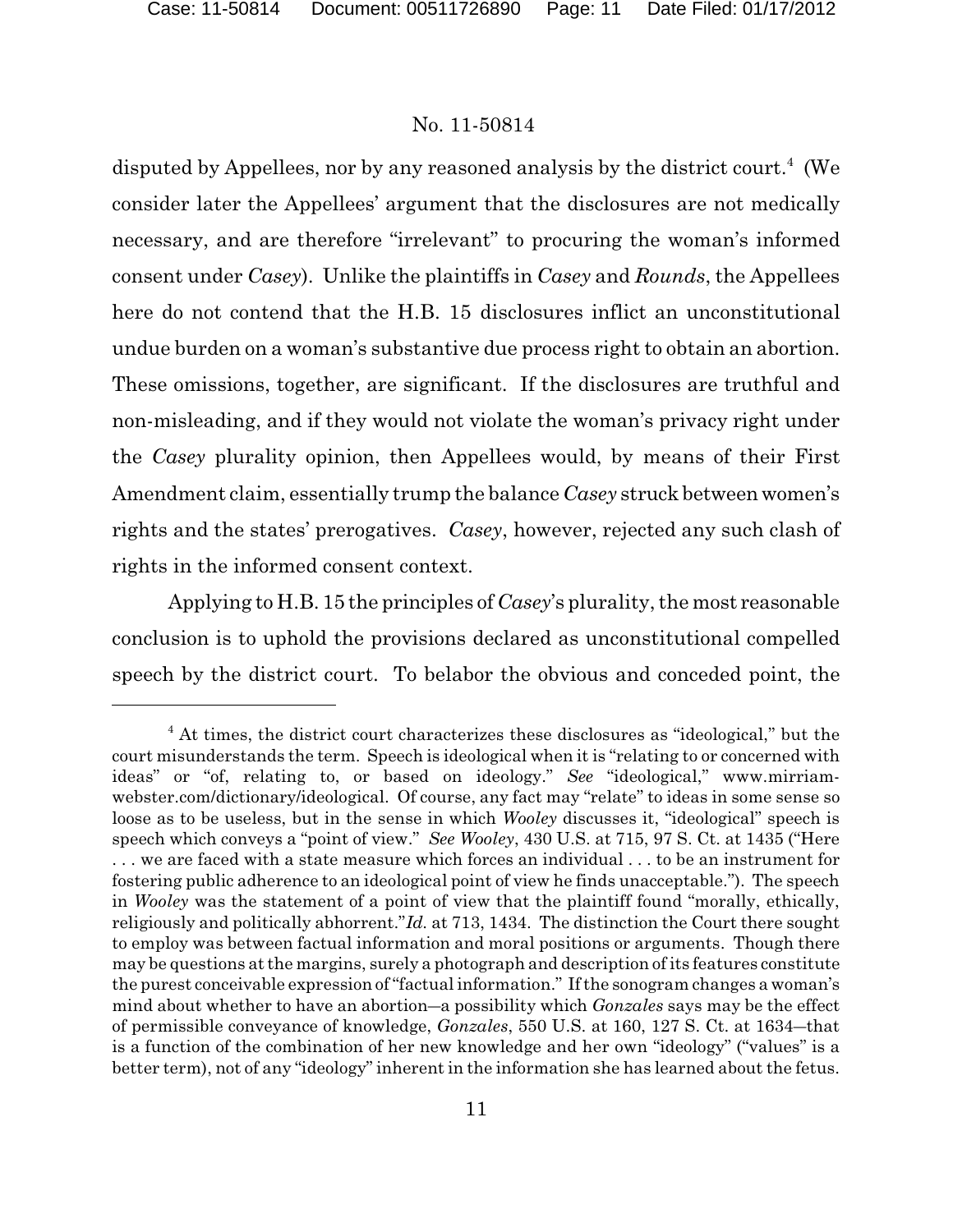disputed by Appellees, nor by any reasoned analysis by the district court.<sup>4</sup> (We consider later the Appellees' argument that the disclosures are not medically necessary, and are therefore "irrelevant" to procuring the woman's informed consent under *Casey*). Unlike the plaintiffs in *Casey* and *Rounds*, the Appellees here do not contend that the H.B. 15 disclosures inflict an unconstitutional undue burden on a woman's substantive due process right to obtain an abortion. These omissions, together, are significant. If the disclosures are truthful and non-misleading, and if they would not violate the woman's privacy right under the *Casey* plurality opinion, then Appellees would, by means of their First Amendment claim, essentially trump the balance *Casey* struck between women's rights and the states' prerogatives. *Casey*, however, rejected any such clash of rights in the informed consent context.

Applying to H.B. 15 the principles of *Casey*'s plurality, the most reasonable conclusion is to uphold the provisions declared as unconstitutional compelled speech by the district court. To belabor the obvious and conceded point, the

 $4$  At times, the district court characterizes these disclosures as "ideological," but the court misunderstands the term. Speech is ideological when it is "relating to or concerned with ideas" or "of, relating to, or based on ideology." *See* "ideological," www.mirriamwebster.com/dictionary/ideological. Of course, any fact may "relate" to ideas in some sense so loose as to be useless, but in the sense in which *Wooley* discusses it, "ideological" speech is speech which conveys a "point of view." *See Wooley*, 430 U.S. at 715, 97 S. Ct. at 1435 ("Here . . . we are faced with a state measure which forces an individual . . . to be an instrument for fostering public adherence to an ideological point of view he finds unacceptable."). The speech in *Wooley* was the statement of a point of view that the plaintiff found "morally, ethically, religiously and politically abhorrent."*Id.* at 713, 1434. The distinction the Court there sought to employ was between factual information and moral positions or arguments. Though there may be questions at the margins, surely a photograph and description of its features constitute the purest conceivable expression of "factual information." If the sonogram changes a woman's mind about whether to have an abortion—a possibility which *Gonzales* says may be the effect of permissible conveyance of knowledge, *Gonzales*, 550 U.S. at 160, 127 S. Ct. at 1634—that is a function of the combination of her new knowledge and her own "ideology" ("values" is a better term), not of any "ideology" inherent in the information she has learned about the fetus.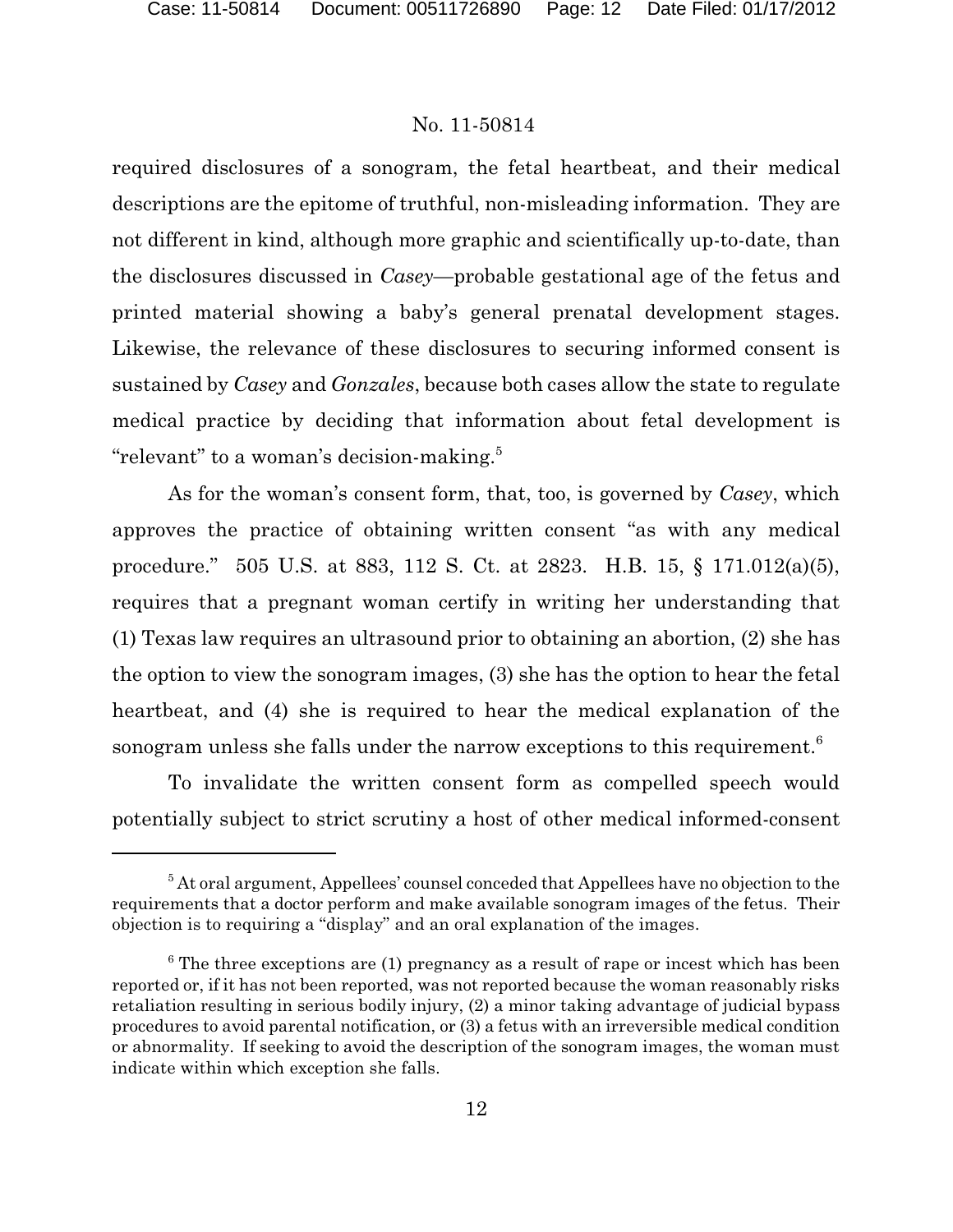required disclosures of a sonogram, the fetal heartbeat, and their medical descriptions are the epitome of truthful, non-misleading information. They are not different in kind, although more graphic and scientifically up-to-date, than the disclosures discussed in *Casey*—probable gestational age of the fetus and printed material showing a baby's general prenatal development stages. Likewise, the relevance of these disclosures to securing informed consent is sustained by *Casey* and *Gonzales*, because both cases allow the state to regulate medical practice by deciding that information about fetal development is "relevant" to a woman's decision-making.<sup>5</sup>

As for the woman's consent form, that, too, is governed by *Casey*, which approves the practice of obtaining written consent "as with any medical procedure." 505 U.S. at 883, 112 S. Ct. at 2823. H.B. 15, § 171.012(a)(5), requires that a pregnant woman certify in writing her understanding that (1) Texas law requires an ultrasound prior to obtaining an abortion, (2) she has the option to view the sonogram images, (3) she has the option to hear the fetal heartbeat, and (4) she is required to hear the medical explanation of the sonogram unless she falls under the narrow exceptions to this requirement.<sup>6</sup>

To invalidate the written consent form as compelled speech would potentially subject to strict scrutiny a host of other medical informed-consent

 ${}^5$  At oral argument, Appellees' counsel conceded that Appellees have no objection to the requirements that a doctor perform and make available sonogram images of the fetus. Their objection is to requiring a "display" and an oral explanation of the images.

 $6$  The three exceptions are (1) pregnancy as a result of rape or incest which has been reported or, if it has not been reported, was not reported because the woman reasonably risks retaliation resulting in serious bodily injury, (2) a minor taking advantage of judicial bypass procedures to avoid parental notification, or (3) a fetus with an irreversible medical condition or abnormality. If seeking to avoid the description of the sonogram images, the woman must indicate within which exception she falls.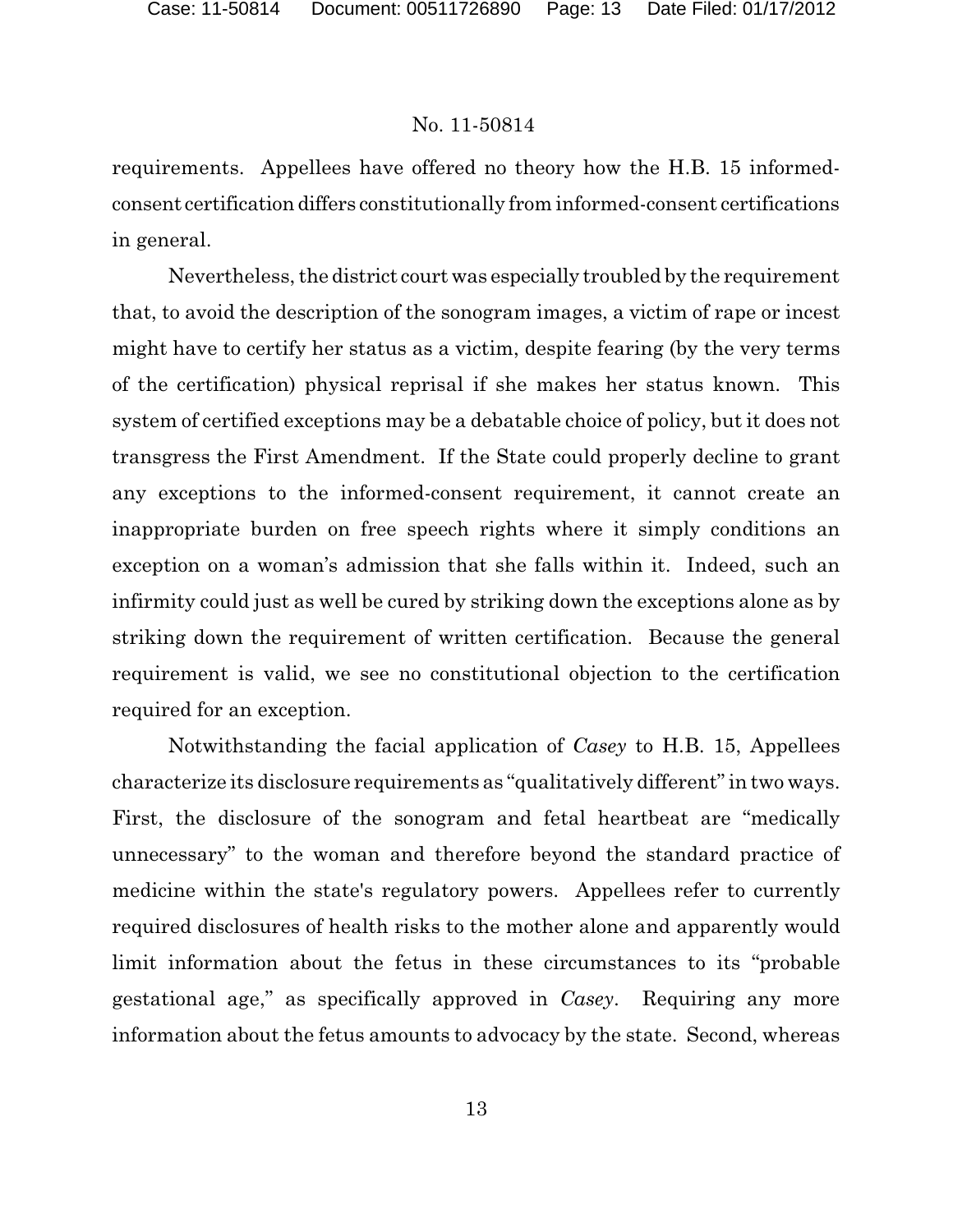requirements. Appellees have offered no theory how the H.B. 15 informedconsent certification differs constitutionally from informed-consent certifications in general.

Nevertheless, the district court was especially troubled by the requirement that, to avoid the description of the sonogram images, a victim of rape or incest might have to certify her status as a victim, despite fearing (by the very terms of the certification) physical reprisal if she makes her status known. This system of certified exceptions may be a debatable choice of policy, but it does not transgress the First Amendment. If the State could properly decline to grant any exceptions to the informed-consent requirement, it cannot create an inappropriate burden on free speech rights where it simply conditions an exception on a woman's admission that she falls within it. Indeed, such an infirmity could just as well be cured by striking down the exceptions alone as by striking down the requirement of written certification. Because the general requirement is valid, we see no constitutional objection to the certification required for an exception.

Notwithstanding the facial application of *Casey* to H.B. 15, Appellees characterize its disclosure requirements as "qualitatively different" in two ways. First, the disclosure of the sonogram and fetal heartbeat are "medically unnecessary" to the woman and therefore beyond the standard practice of medicine within the state's regulatory powers. Appellees refer to currently required disclosures of health risks to the mother alone and apparently would limit information about the fetus in these circumstances to its "probable gestational age," as specifically approved in *Casey*. Requiring any more information about the fetus amounts to advocacy by the state. Second, whereas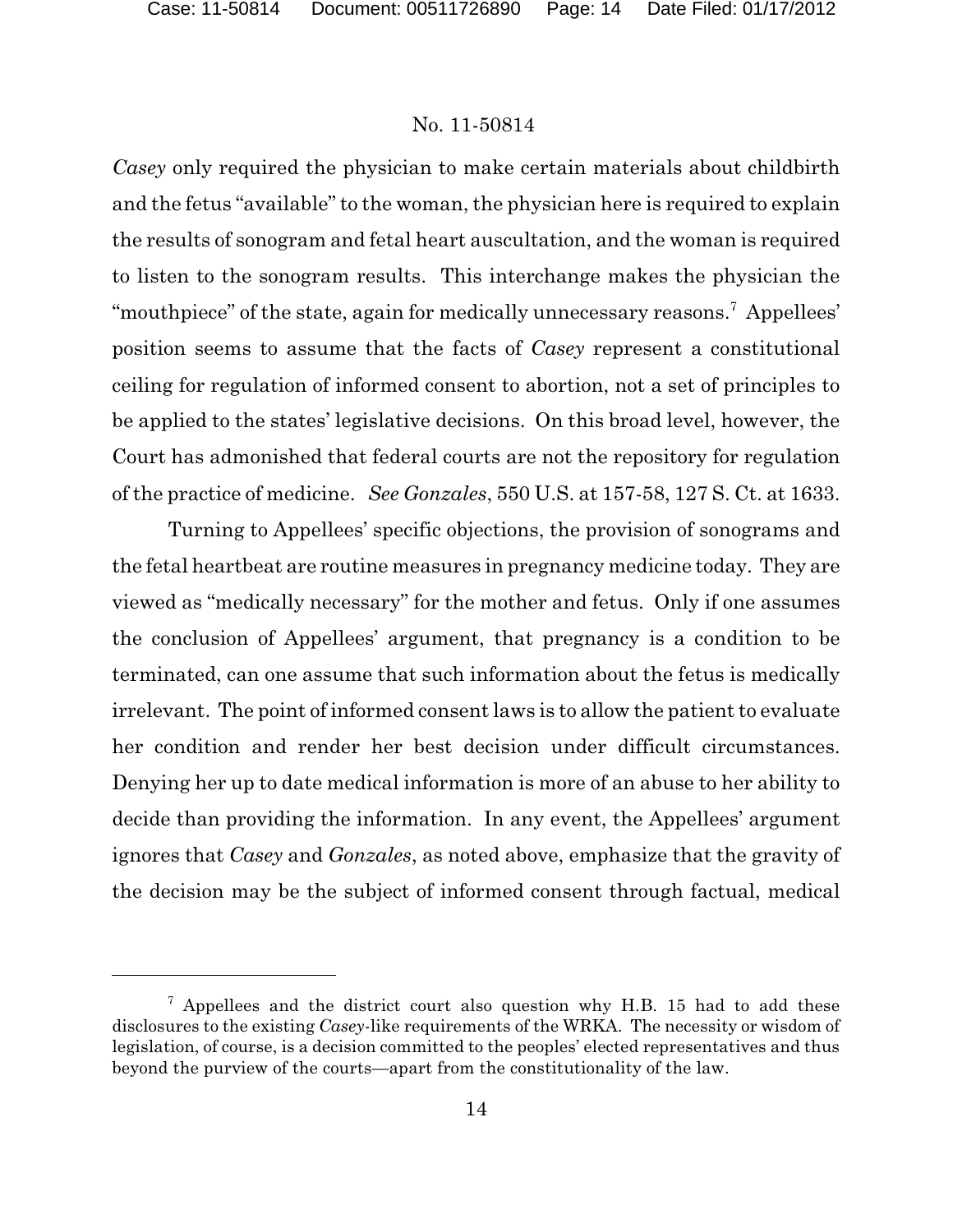*Casey* only required the physician to make certain materials about childbirth and the fetus "available" to the woman, the physician here is required to explain the results of sonogram and fetal heart auscultation, and the woman is required to listen to the sonogram results. This interchange makes the physician the "mouthpiece" of the state, again for medically unnecessary reasons.<sup>7</sup> Appellees' position seems to assume that the facts of *Casey* represent a constitutional ceiling for regulation of informed consent to abortion, not a set of principles to be applied to the states' legislative decisions. On this broad level, however, the Court has admonished that federal courts are not the repository for regulation of the practice of medicine. *See Gonzales*, 550 U.S. at 157-58, 127 S. Ct. at 1633.

Turning to Appellees' specific objections, the provision of sonograms and the fetal heartbeat are routine measures in pregnancy medicine today. They are viewed as "medically necessary" for the mother and fetus. Only if one assumes the conclusion of Appellees' argument, that pregnancy is a condition to be terminated, can one assume that such information about the fetus is medically irrelevant. The point of informed consent laws is to allow the patient to evaluate her condition and render her best decision under difficult circumstances. Denying her up to date medical information is more of an abuse to her ability to decide than providing the information. In any event, the Appellees' argument ignores that *Casey* and *Gonzales*, as noted above, emphasize that the gravity of the decision may be the subject of informed consent through factual, medical

 $7$  Appellees and the district court also question why H.B. 15 had to add these disclosures to the existing *Casey*-like requirements of the WRKA. The necessity or wisdom of legislation, of course, is a decision committed to the peoples' elected representatives and thus beyond the purview of the courts—apart from the constitutionality of the law.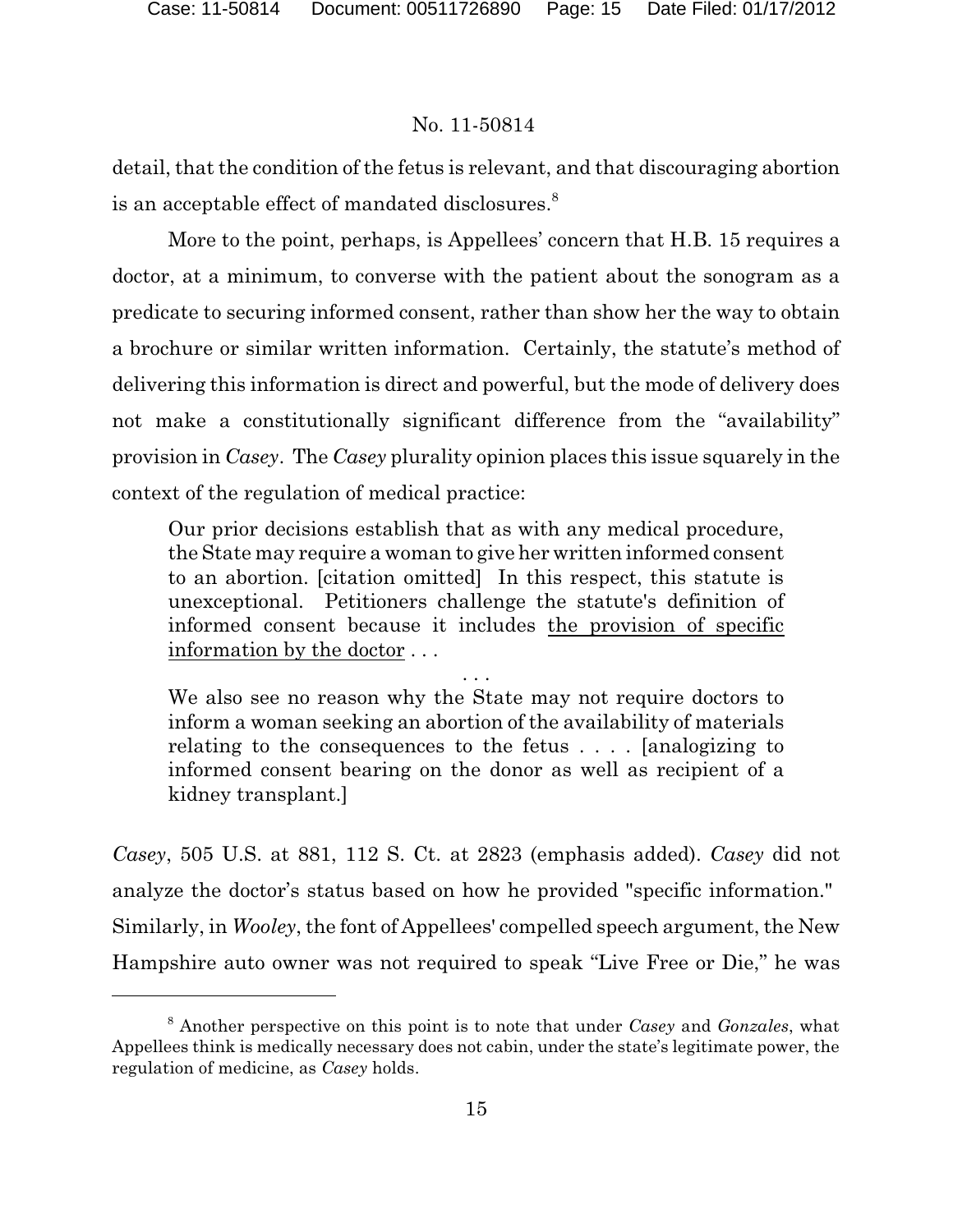detail, that the condition of the fetus is relevant, and that discouraging abortion is an acceptable effect of mandated disclosures.<sup>8</sup>

More to the point, perhaps, is Appellees' concern that H.B. 15 requires a doctor, at a minimum, to converse with the patient about the sonogram as a predicate to securing informed consent, rather than show her the way to obtain a brochure or similar written information. Certainly, the statute's method of delivering this information is direct and powerful, but the mode of delivery does not make a constitutionally significant difference from the "availability" provision in *Casey*. The *Casey* plurality opinion places this issue squarely in the context of the regulation of medical practice:

Our prior decisions establish that as with any medical procedure, the State may require a woman to give her written informed consent to an abortion. [citation omitted] In this respect, this statute is unexceptional. Petitioners challenge the statute's definition of informed consent because it includes the provision of specific information by the doctor . . .

. . . We also see no reason why the State may not require doctors to inform a woman seeking an abortion of the availability of materials relating to the consequences to the fetus . . . . [analogizing to informed consent bearing on the donor as well as recipient of a kidney transplant.]

*Casey*, 505 U.S. at 881, 112 S. Ct. at 2823 (emphasis added). *Casey* did not analyze the doctor's status based on how he provided "specific information." Similarly, in *Wooley*, the font of Appellees' compelled speech argument, the New Hampshire auto owner was not required to speak "Live Free or Die," he was

Another perspective on this point is to note that under *Casey* and *Gonzales*, what <sup>8</sup> Appellees think is medically necessary does not cabin, under the state's legitimate power, the regulation of medicine, as *Casey* holds.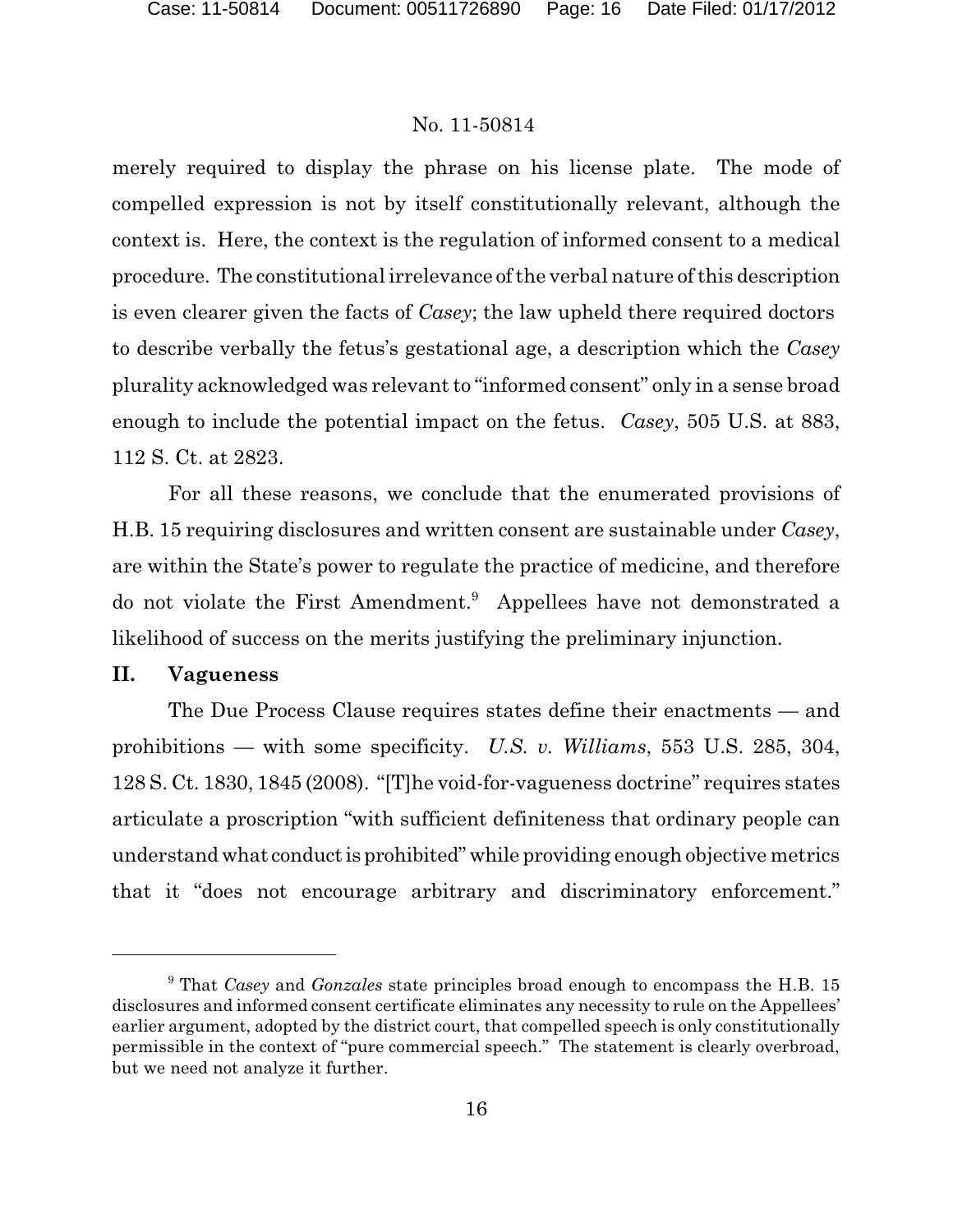merely required to display the phrase on his license plate. The mode of compelled expression is not by itself constitutionally relevant, although the context is. Here, the context is the regulation of informed consent to a medical procedure. The constitutional irrelevance of the verbal nature of this description is even clearer given the facts of *Casey*; the law upheld there required doctors to describe verbally the fetus's gestational age, a description which the *Casey* plurality acknowledged was relevant to "informed consent" only in a sense broad enough to include the potential impact on the fetus. *Casey*, 505 U.S. at 883, 112 S. Ct. at 2823.

For all these reasons, we conclude that the enumerated provisions of H.B. 15 requiring disclosures and written consent are sustainable under *Casey*, are within the State's power to regulate the practice of medicine, and therefore do not violate the First Amendment.<sup>9</sup> Appellees have not demonstrated a likelihood of success on the merits justifying the preliminary injunction.

### **II. Vagueness**

The Due Process Clause requires states define their enactments — and prohibitions — with some specificity. *U.S. v. Williams*, 553 U.S. 285, 304, 128 S. Ct. 1830, 1845 (2008). "[T]he void-for-vagueness doctrine" requires states articulate a proscription "with sufficient definiteness that ordinary people can understandwhat conductis prohibited" while providing enough objective metrics that it "does not encourage arbitrary and discriminatory enforcement."

<sup>&</sup>lt;sup>9</sup> That *Casey* and *Gonzales* state principles broad enough to encompass the H.B. 15 disclosures and informed consent certificate eliminates any necessity to rule on the Appellees' earlier argument, adopted by the district court, that compelled speech is only constitutionally permissible in the context of "pure commercial speech." The statement is clearly overbroad, but we need not analyze it further.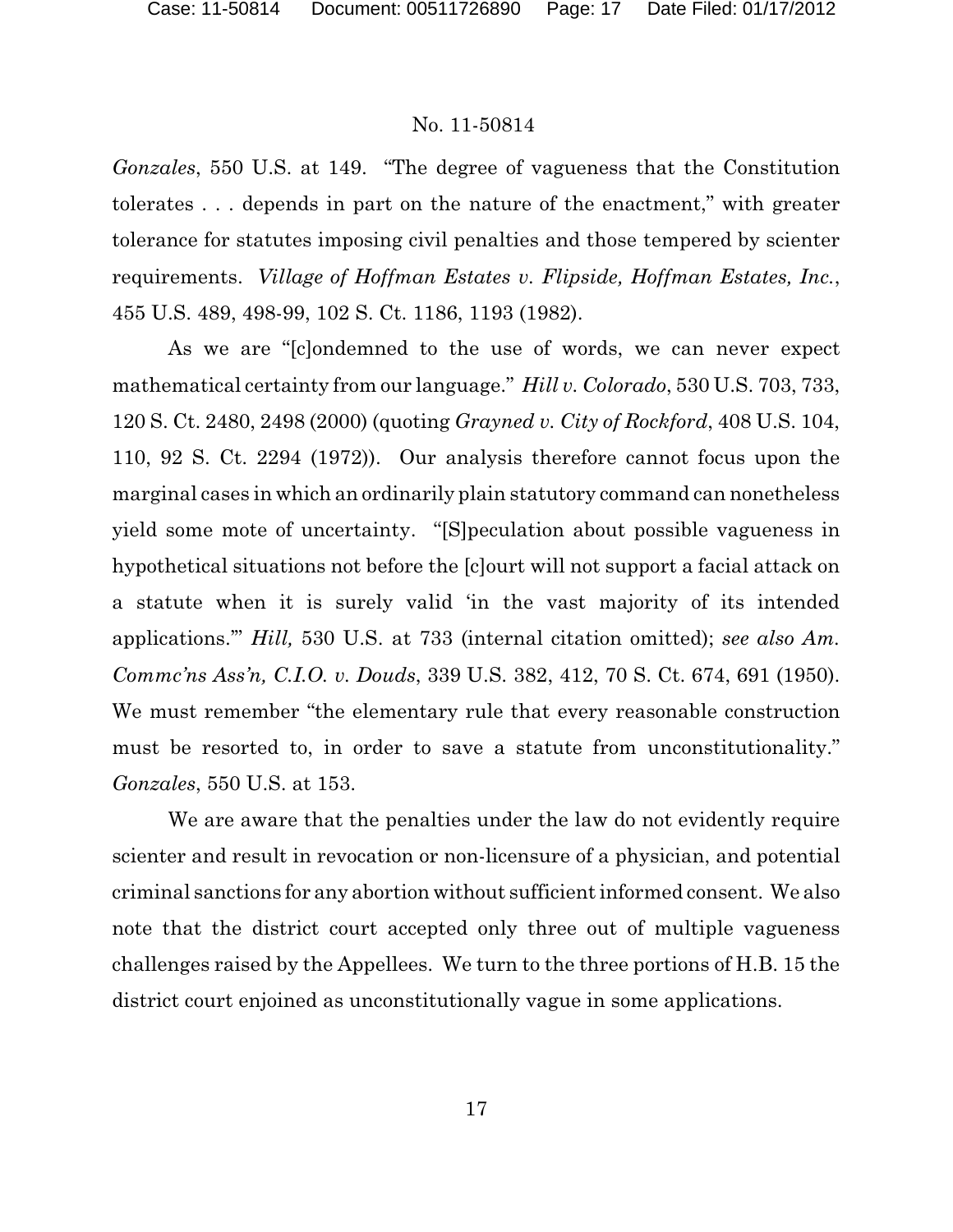*Gonzales*, 550 U.S. at 149. "The degree of vagueness that the Constitution tolerates . . . depends in part on the nature of the enactment," with greater tolerance for statutes imposing civil penalties and those tempered by scienter requirements. *Village of Hoffman Estates v. Flipside, Hoffman Estates, Inc.*, 455 U.S. 489, 498-99, 102 S. Ct. 1186, 1193 (1982).

As we are "[c]ondemned to the use of words, we can never expect mathematical certainty from our language." *Hill v. Colorado*, 530 U.S. 703, 733, 120 S. Ct. 2480, 2498 (2000) (quoting *Grayned v. City of Rockford*, 408 U.S. 104, 110, 92 S. Ct. 2294 (1972)). Our analysis therefore cannot focus upon the marginal cases in which an ordinarily plain statutory command can nonetheless yield some mote of uncertainty. "[S]peculation about possible vagueness in hypothetical situations not before the [c]ourt will not support a facial attack on a statute when it is surely valid 'in the vast majority of its intended applications.'" *Hill,* 530 U.S. at 733 (internal citation omitted); *see also Am. Commc'ns Ass'n, C.I.O. v. Douds*, 339 U.S. 382, 412, 70 S. Ct. 674, 691 (1950). We must remember "the elementary rule that every reasonable construction must be resorted to, in order to save a statute from unconstitutionality." *Gonzales*, 550 U.S. at 153.

We are aware that the penalties under the law do not evidently require scienter and result in revocation or non-licensure of a physician, and potential criminal sanctions for any abortion without sufficient informed consent. We also note that the district court accepted only three out of multiple vagueness challenges raised by the Appellees. We turn to the three portions of H.B. 15 the district court enjoined as unconstitutionally vague in some applications.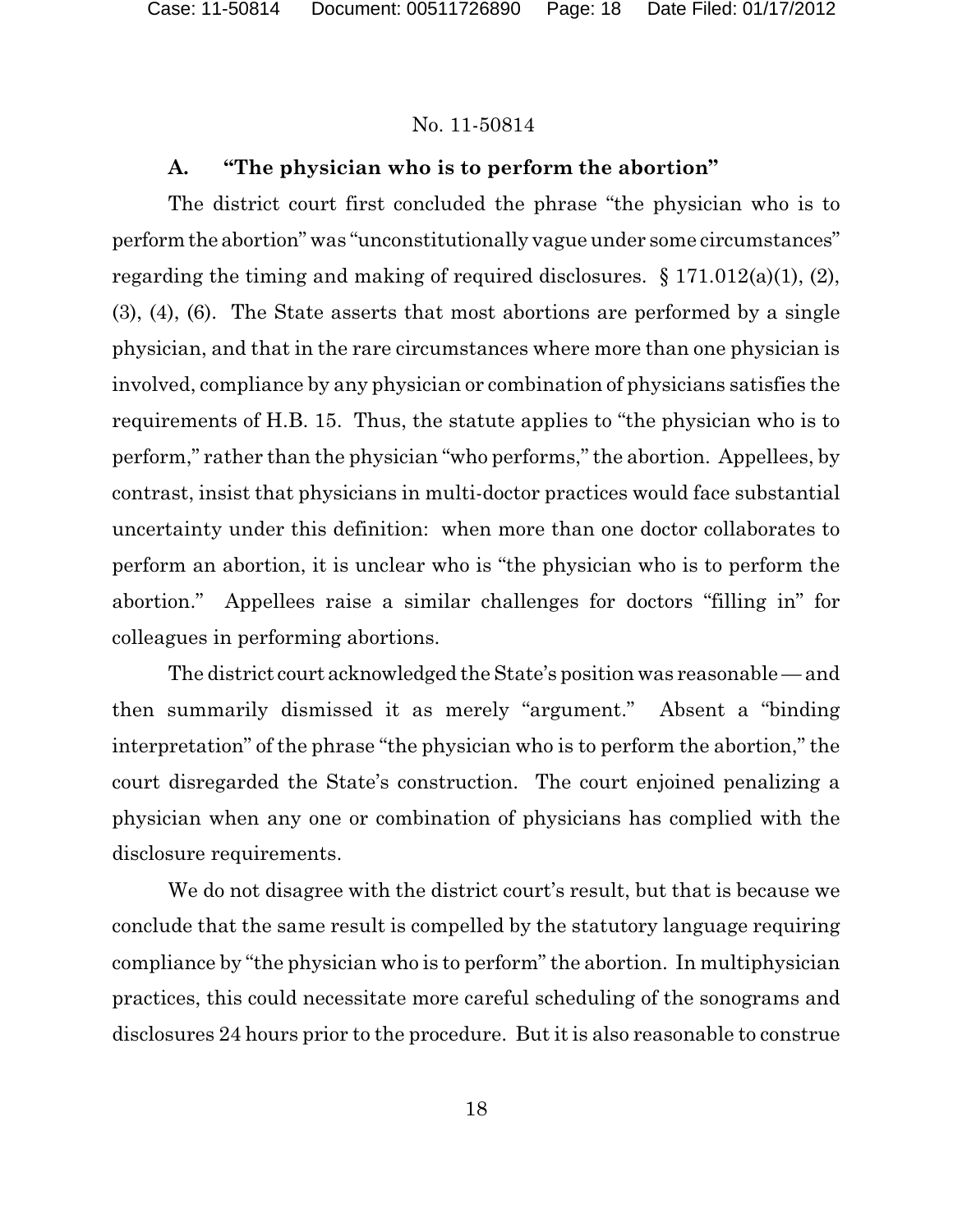## **A. "The physician who is to perform the abortion"**

The district court first concluded the phrase "the physician who is to perform the abortion" was "unconstitutionally vague under some circumstances" regarding the timing and making of required disclosures.  $\S 171.012(a)(1)$ , (2), (3), (4), (6). The State asserts that most abortions are performed by a single physician, and that in the rare circumstances where more than one physician is involved, compliance by any physician or combination of physicians satisfies the requirements of H.B. 15. Thus, the statute applies to "the physician who is to perform," rather than the physician "who performs," the abortion. Appellees, by contrast, insist that physicians in multi-doctor practices would face substantial uncertainty under this definition: when more than one doctor collaborates to perform an abortion, it is unclear who is "the physician who is to perform the abortion." Appellees raise a similar challenges for doctors "filling in" for colleagues in performing abortions.

The district court acknowledged the State's position was reasonable — and then summarily dismissed it as merely "argument." Absent a "binding interpretation" of the phrase "the physician who is to perform the abortion," the court disregarded the State's construction. The court enjoined penalizing a physician when any one or combination of physicians has complied with the disclosure requirements.

We do not disagree with the district court's result, but that is because we conclude that the same result is compelled by the statutory language requiring compliance by "the physician who is to perform" the abortion. In multiphysician practices, this could necessitate more careful scheduling of the sonograms and disclosures 24 hours prior to the procedure. But it is also reasonable to construe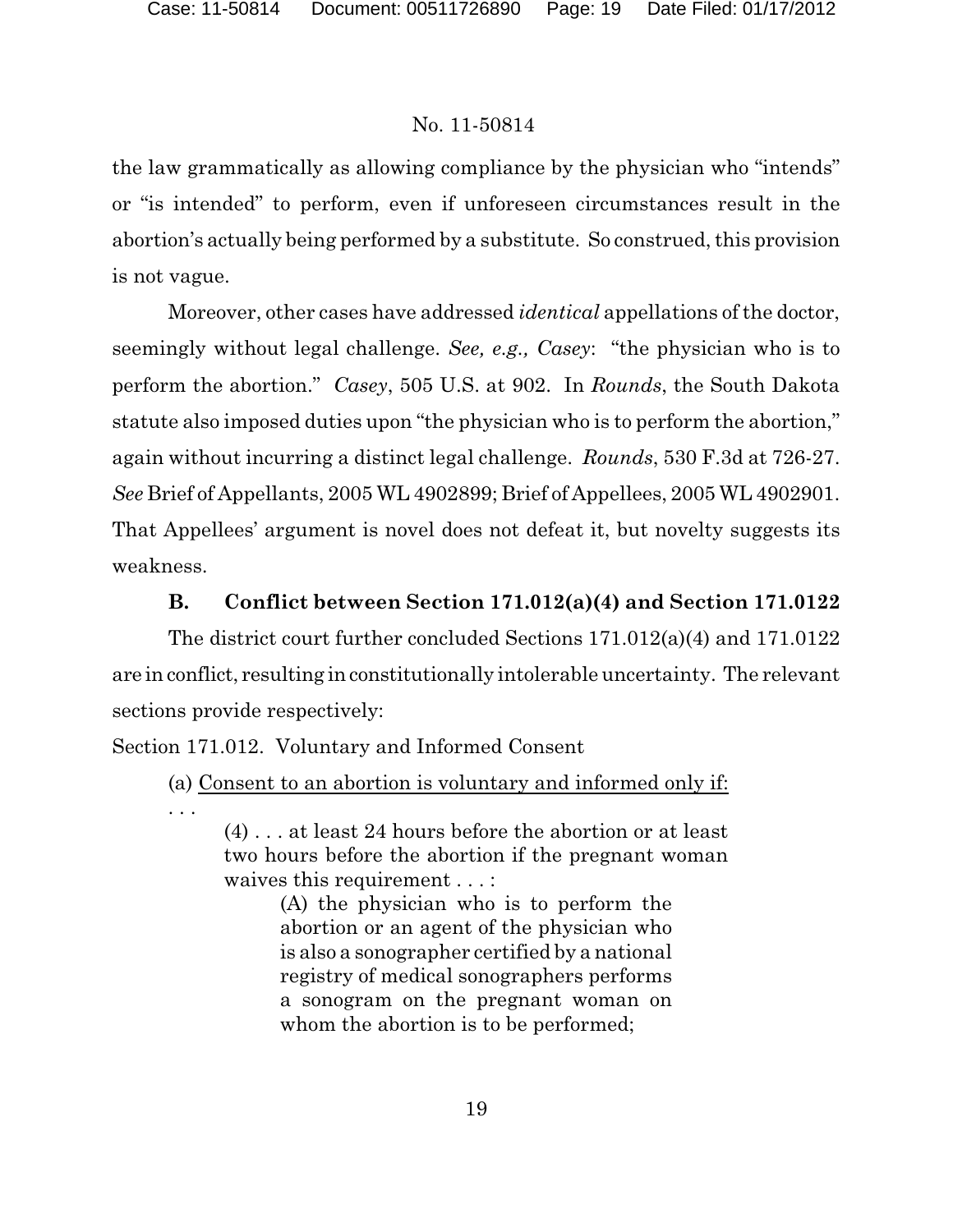the law grammatically as allowing compliance by the physician who "intends" or "is intended" to perform, even if unforeseen circumstances result in the abortion's actually being performed by a substitute. So construed, this provision is not vague.

Moreover, other cases have addressed *identical* appellations of the doctor, seemingly without legal challenge. *See, e.g., Casey*: "the physician who is to perform the abortion." *Casey*, 505 U.S. at 902. In *Rounds*, the South Dakota statute also imposed duties upon "the physician who is to perform the abortion," again without incurring a distinct legal challenge. *Rounds*, 530 F.3d at 726-27. *See* Brief of Appellants, 2005 WL 4902899; Brief of Appellees, 2005 WL 4902901. That Appellees' argument is novel does not defeat it, but novelty suggests its weakness.

### **B. Conflict between Section 171.012(a)(4) and Section 171.0122**

The district court further concluded Sections 171.012(a)(4) and 171.0122 are in conflict, resulting in constitutionally intolerable uncertainty. The relevant sections provide respectively:

Section 171.012. Voluntary and Informed Consent

. . .

(a) Consent to an abortion is voluntary and informed only if:

(4) . . . at least 24 hours before the abortion or at least two hours before the abortion if the pregnant woman waives this requirement . . . :

> (A) the physician who is to perform the abortion or an agent of the physician who is also a sonographer certified by a national registry of medical sonographers performs a sonogram on the pregnant woman on whom the abortion is to be performed;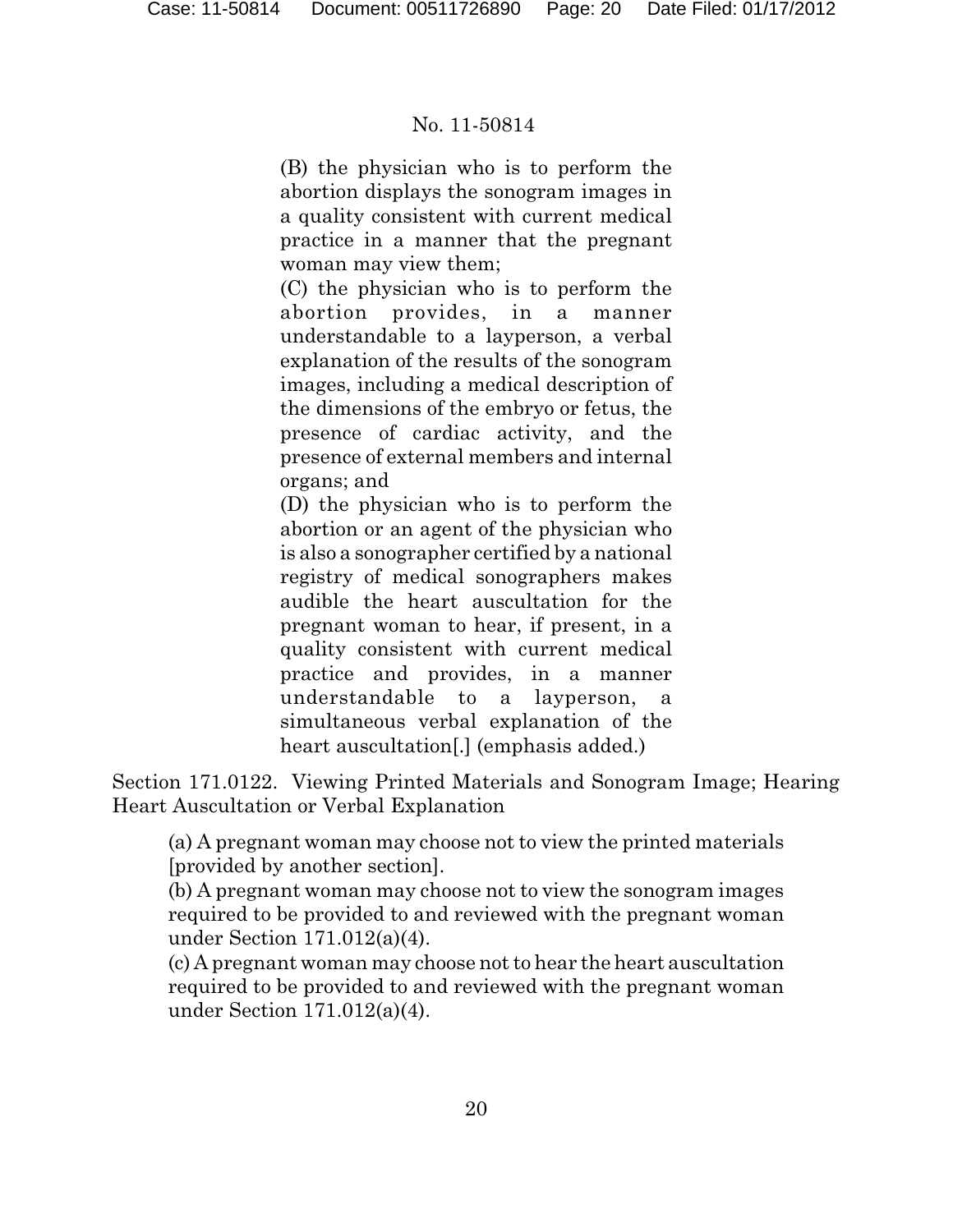(B) the physician who is to perform the abortion displays the sonogram images in a quality consistent with current medical practice in a manner that the pregnant woman may view them;

(C) the physician who is to perform the abortion provides, in a manner understandable to a layperson, a verbal explanation of the results of the sonogram images, including a medical description of the dimensions of the embryo or fetus, the presence of cardiac activity, and the presence of external members and internal organs; and

(D) the physician who is to perform the abortion or an agent of the physician who is also a sonographer certified by a national registry of medical sonographers makes audible the heart auscultation for the pregnant woman to hear, if present, in a quality consistent with current medical practice and provides, in a manner understandable to a layperson, a simultaneous verbal explanation of the heart auscultation<sup>[1]</sup> (emphasis added.)

Section 171.0122. Viewing Printed Materials and Sonogram Image; Hearing Heart Auscultation or Verbal Explanation

(a) A pregnant woman may choose not to view the printed materials [provided by another section].

(b) A pregnant woman may choose not to view the sonogram images required to be provided to and reviewed with the pregnant woman under Section 171.012(a)(4).

(c) A pregnant woman may choose not to hear the heart auscultation required to be provided to and reviewed with the pregnant woman under Section 171.012(a)(4).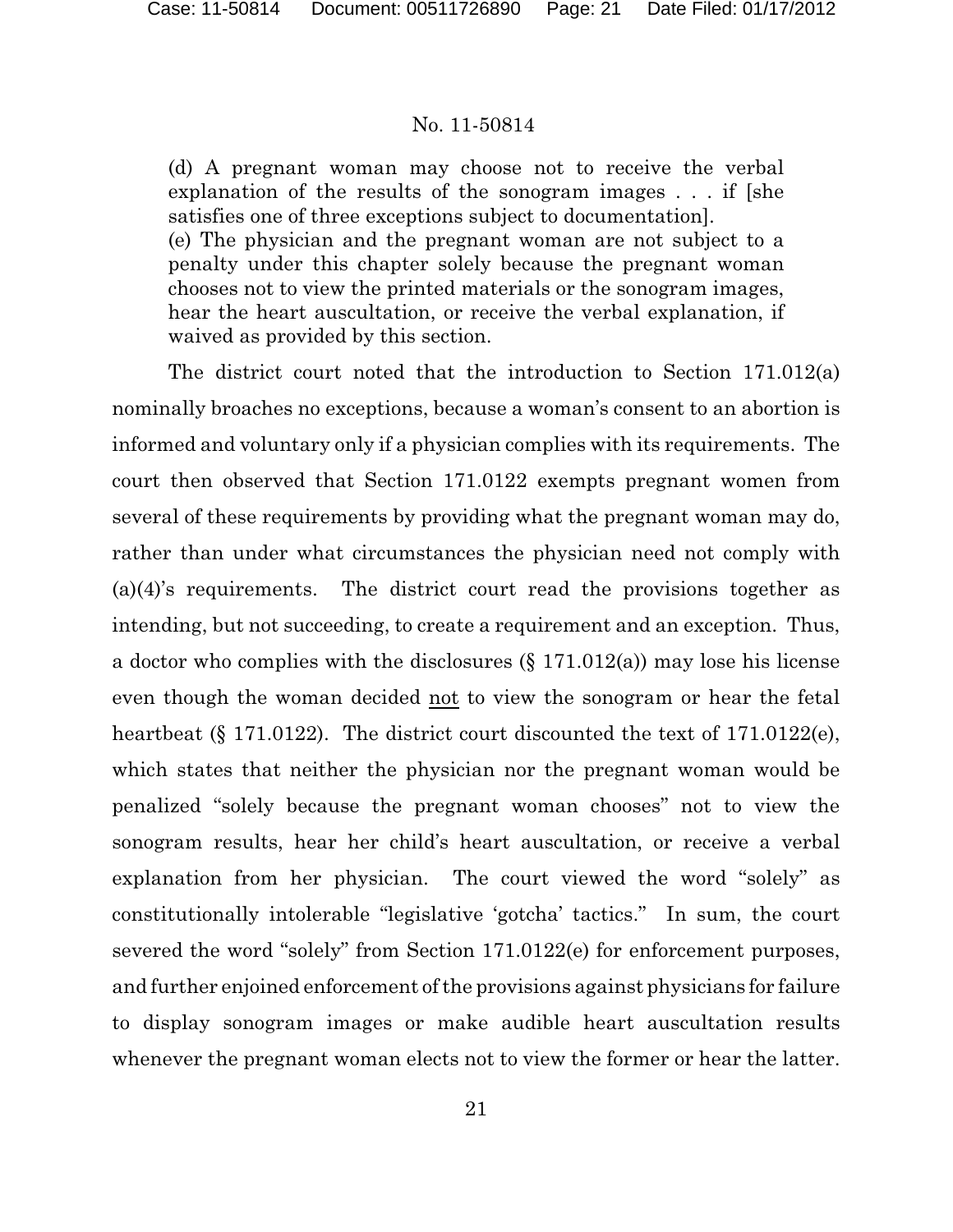(d) A pregnant woman may choose not to receive the verbal explanation of the results of the sonogram images . . . if [she satisfies one of three exceptions subject to documentation]. (e) The physician and the pregnant woman are not subject to a penalty under this chapter solely because the pregnant woman chooses not to view the printed materials or the sonogram images, hear the heart auscultation, or receive the verbal explanation, if waived as provided by this section.

The district court noted that the introduction to Section 171.012(a) nominally broaches no exceptions, because a woman's consent to an abortion is informed and voluntary only if a physician complies with its requirements. The court then observed that Section 171.0122 exempts pregnant women from several of these requirements by providing what the pregnant woman may do, rather than under what circumstances the physician need not comply with (a)(4)'s requirements. The district court read the provisions together as intending, but not succeeding, to create a requirement and an exception. Thus, a doctor who complies with the disclosures (§ 171.012(a)) may lose his license even though the woman decided not to view the sonogram or hear the fetal heartbeat (§ 171.0122). The district court discounted the text of 171.0122(e), which states that neither the physician nor the pregnant woman would be penalized "solely because the pregnant woman chooses" not to view the sonogram results, hear her child's heart auscultation, or receive a verbal explanation from her physician. The court viewed the word "solely" as constitutionally intolerable "legislative 'gotcha' tactics." In sum, the court severed the word "solely" from Section 171.0122(e) for enforcement purposes, and further enjoined enforcement of the provisions against physicians for failure to display sonogram images or make audible heart auscultation results whenever the pregnant woman elects not to view the former or hear the latter.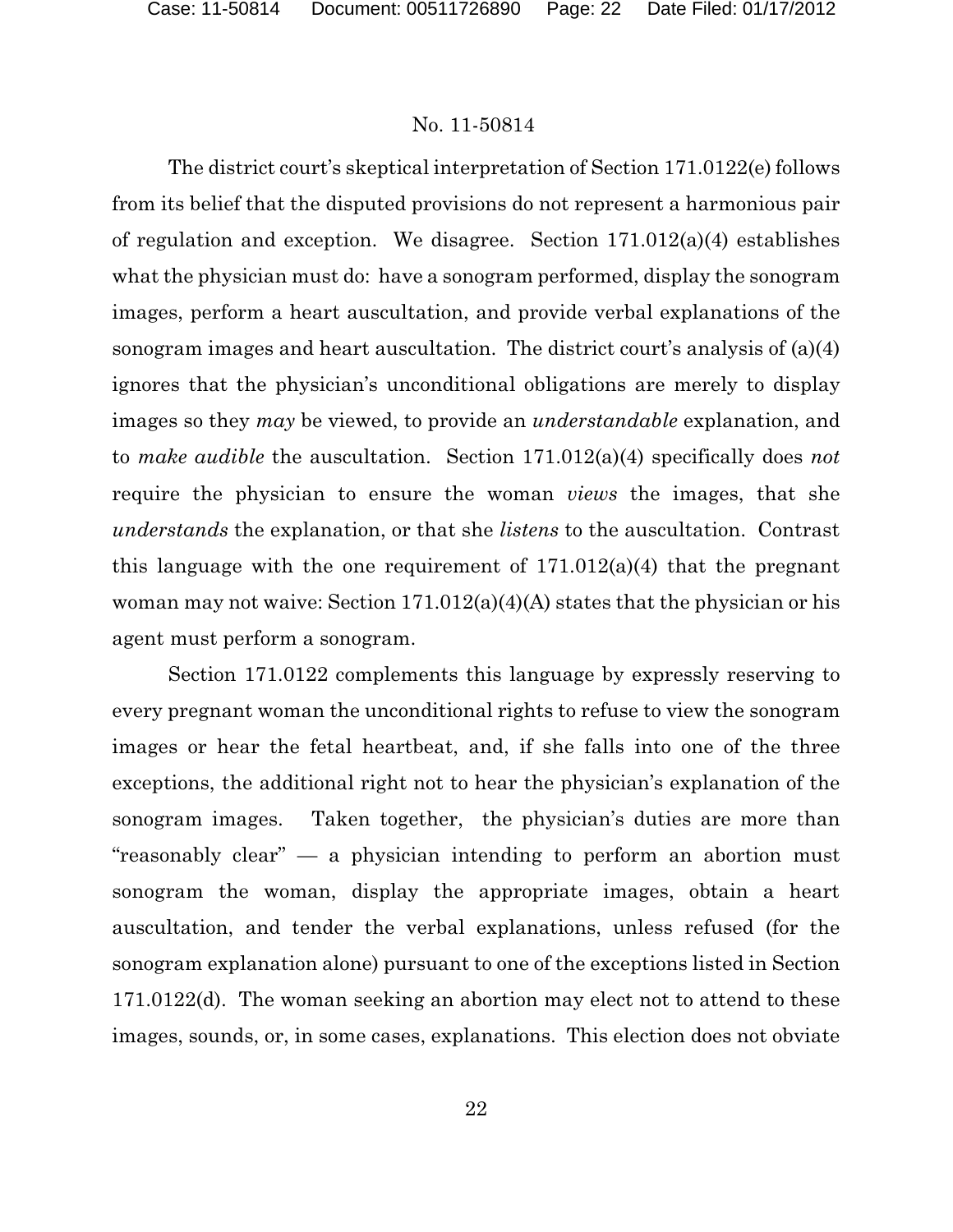The district court's skeptical interpretation of Section 171.0122(e) follows from its belief that the disputed provisions do not represent a harmonious pair of regulation and exception. We disagree. Section 171.012(a)(4) establishes what the physician must do: have a sonogram performed, display the sonogram images, perform a heart auscultation, and provide verbal explanations of the sonogram images and heart auscultation. The district court's analysis of (a)(4) ignores that the physician's unconditional obligations are merely to display images so they *may* be viewed, to provide an *understandable* explanation, and to *make audible* the auscultation. Section 171.012(a)(4) specifically does *not* require the physician to ensure the woman *views* the images, that she *understands* the explanation, or that she *listens* to the auscultation. Contrast this language with the one requirement of  $171.012(a)(4)$  that the pregnant woman may not waive: Section 171.012(a)(4)(A) states that the physician or his agent must perform a sonogram.

Section 171.0122 complements this language by expressly reserving to every pregnant woman the unconditional rights to refuse to view the sonogram images or hear the fetal heartbeat, and, if she falls into one of the three exceptions, the additional right not to hear the physician's explanation of the sonogram images. Taken together, the physician's duties are more than "reasonably clear" — a physician intending to perform an abortion must sonogram the woman, display the appropriate images, obtain a heart auscultation, and tender the verbal explanations, unless refused (for the sonogram explanation alone) pursuant to one of the exceptions listed in Section 171.0122(d). The woman seeking an abortion may elect not to attend to these images, sounds, or, in some cases, explanations. This election does not obviate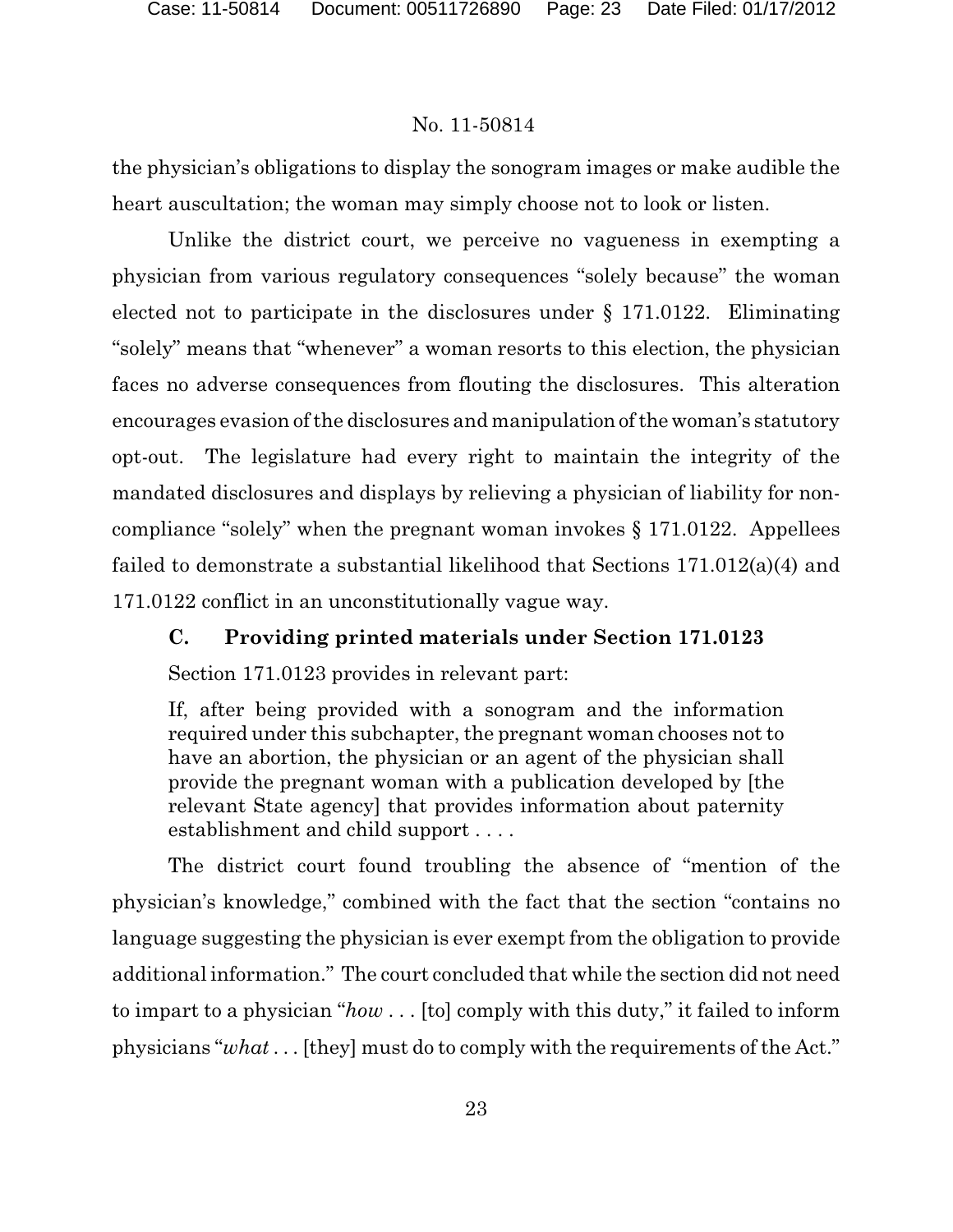the physician's obligations to display the sonogram images or make audible the heart auscultation; the woman may simply choose not to look or listen.

Unlike the district court, we perceive no vagueness in exempting a physician from various regulatory consequences "solely because" the woman elected not to participate in the disclosures under § 171.0122. Eliminating "solely" means that "whenever" a woman resorts to this election, the physician faces no adverse consequences from flouting the disclosures. This alteration encourages evasion of the disclosures and manipulation of the woman's statutory opt-out. The legislature had every right to maintain the integrity of the mandated disclosures and displays by relieving a physician of liability for noncompliance "solely" when the pregnant woman invokes § 171.0122. Appellees failed to demonstrate a substantial likelihood that Sections 171.012(a)(4) and 171.0122 conflict in an unconstitutionally vague way.

# **C. Providing printed materials under Section 171.0123**

Section 171.0123 provides in relevant part:

If, after being provided with a sonogram and the information required under this subchapter, the pregnant woman chooses not to have an abortion, the physician or an agent of the physician shall provide the pregnant woman with a publication developed by [the relevant State agency] that provides information about paternity establishment and child support . . . .

The district court found troubling the absence of "mention of the physician's knowledge," combined with the fact that the section "contains no language suggesting the physician is ever exempt from the obligation to provide additional information." The court concluded that while the section did not need to impart to a physician "*how* . . . [to] comply with this duty," it failed to inform physicians "*what* . . . [they] must do to comply with the requirements of the Act."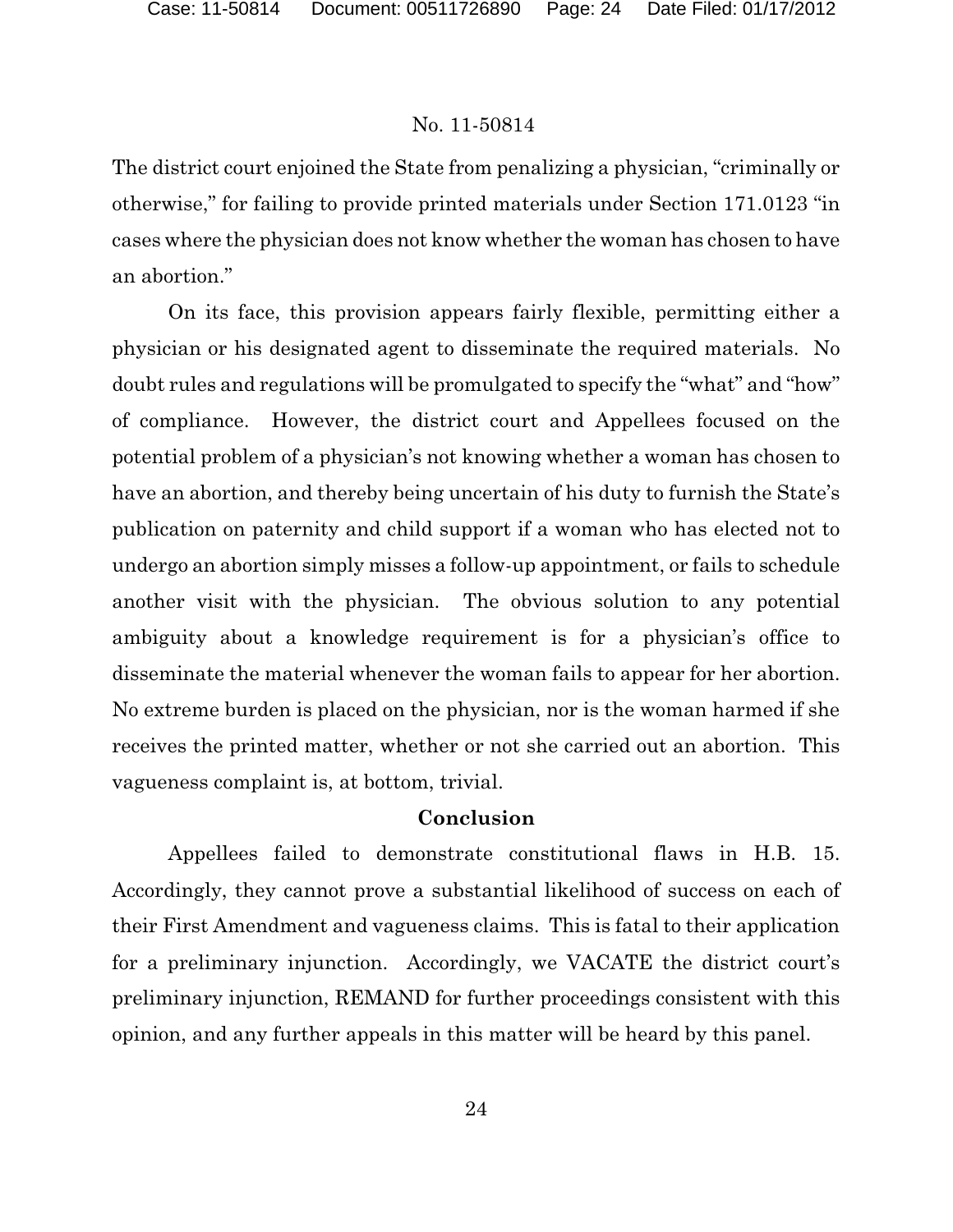The district court enjoined the State from penalizing a physician, "criminally or otherwise," for failing to provide printed materials under Section 171.0123 "in cases where the physician does not know whether the woman has chosen to have an abortion."

On its face, this provision appears fairly flexible, permitting either a physician or his designated agent to disseminate the required materials. No doubt rules and regulations will be promulgated to specify the "what" and "how" of compliance. However, the district court and Appellees focused on the potential problem of a physician's not knowing whether a woman has chosen to have an abortion, and thereby being uncertain of his duty to furnish the State's publication on paternity and child support if a woman who has elected not to undergo an abortion simply misses a follow-up appointment, or fails to schedule another visit with the physician. The obvious solution to any potential ambiguity about a knowledge requirement is for a physician's office to disseminate the material whenever the woman fails to appear for her abortion. No extreme burden is placed on the physician, nor is the woman harmed if she receives the printed matter, whether or not she carried out an abortion. This vagueness complaint is, at bottom, trivial.

### **Conclusion**

Appellees failed to demonstrate constitutional flaws in H.B. 15. Accordingly, they cannot prove a substantial likelihood of success on each of their First Amendment and vagueness claims. This is fatal to their application for a preliminary injunction. Accordingly, we VACATE the district court's preliminary injunction, REMAND for further proceedings consistent with this opinion, and any further appeals in this matter will be heard by this panel.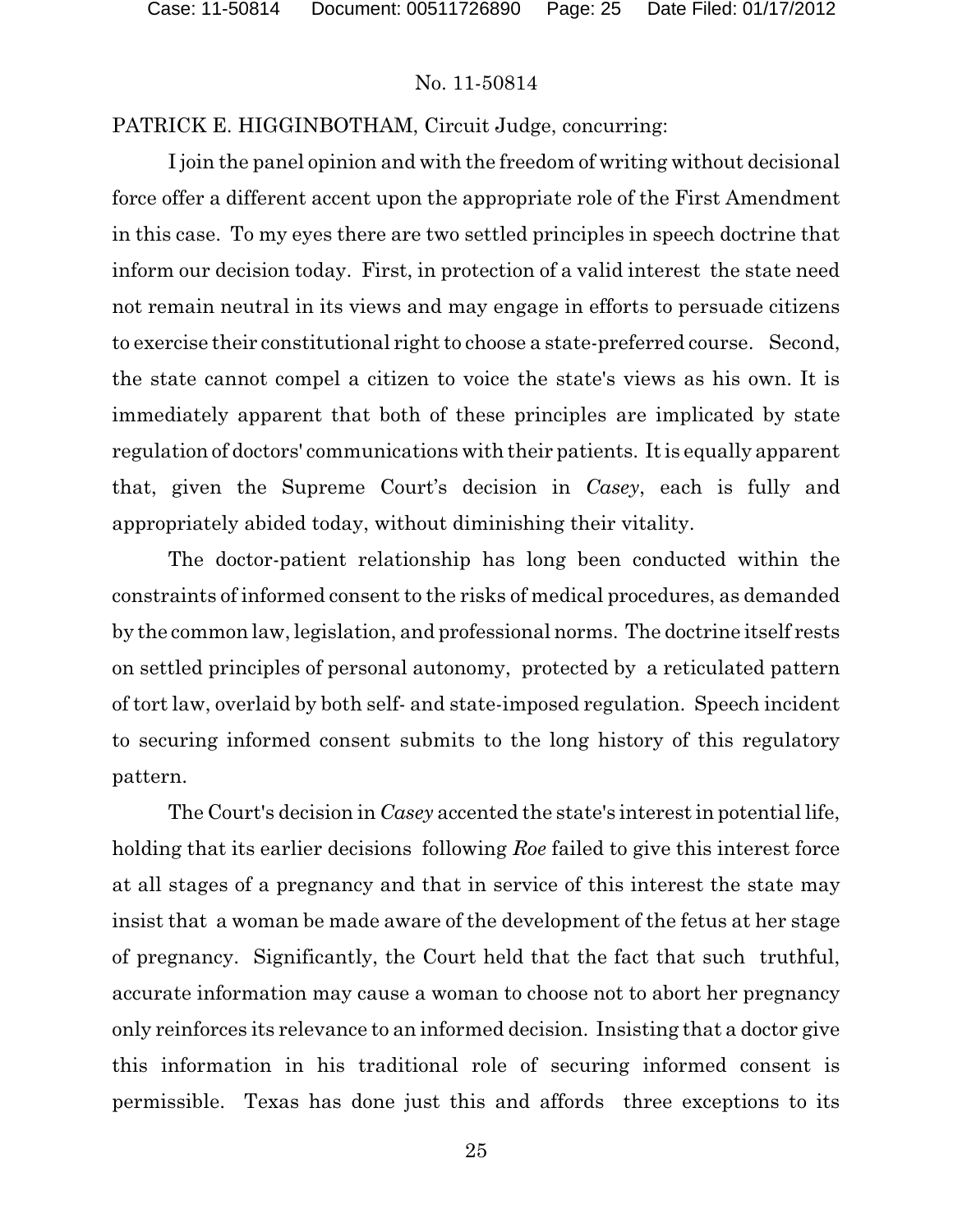### PATRICK E. HIGGINBOTHAM, Circuit Judge, concurring:

I join the panel opinion and with the freedom of writing without decisional force offer a different accent upon the appropriate role of the First Amendment in this case. To my eyes there are two settled principles in speech doctrine that inform our decision today. First, in protection of a valid interest the state need not remain neutral in its views and may engage in efforts to persuade citizens to exercise their constitutional right to choose a state-preferred course. Second, the state cannot compel a citizen to voice the state's views as his own. It is immediately apparent that both of these principles are implicated by state regulation of doctors' communications with their patients. It is equally apparent that, given the Supreme Court's decision in *Casey*, each is fully and appropriately abided today, without diminishing their vitality.

The doctor-patient relationship has long been conducted within the constraints of informed consent to the risks of medical procedures, as demanded by the common law, legislation, and professional norms. The doctrine itself rests on settled principles of personal autonomy, protected by a reticulated pattern of tort law, overlaid by both self- and state-imposed regulation. Speech incident to securing informed consent submits to the long history of this regulatory pattern.

The Court's decision in *Casey* accented the state's interest in potential life, holding that its earlier decisions following *Roe* failed to give this interest force at all stages of a pregnancy and that in service of this interest the state may insist that a woman be made aware of the development of the fetus at her stage of pregnancy. Significantly, the Court held that the fact that such truthful, accurate information may cause a woman to choose not to abort her pregnancy only reinforces its relevance to an informed decision. Insisting that a doctor give this information in his traditional role of securing informed consent is permissible. Texas has done just this and affords three exceptions to its